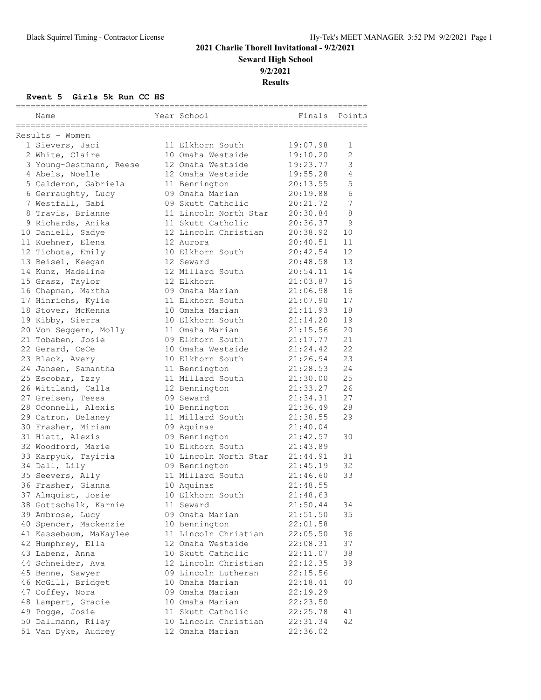## **2021 Charlie Thorell Invitational - 9/2/2021 Seward High School 9/2/2021**

**Results**

| Name                    | Year School           |          | Finals Points  |
|-------------------------|-----------------------|----------|----------------|
| Results - Women         |                       |          |                |
| 1 Sievers, Jaci         | 11 Elkhorn South      | 19:07.98 | 1              |
| 2 White, Claire         | 10 Omaha Westside     | 19:10.20 | $\overline{2}$ |
| 3 Young-Oestmann, Reese | 12 Omaha Westside     | 19:23.77 | 3              |
| 4 Abels, Noelle         | 12 Omaha Westside     | 19:55.28 | 4              |
| 5 Calderon, Gabriela    | 11 Bennington         | 20:13.55 | 5              |
| 6 Gerraughty, Lucy      | 09 Omaha Marian       | 20:19.88 | 6              |
| 7 Westfall, Gabi        | 09 Skutt Catholic     | 20:21.72 | 7              |
| 8 Travis, Brianne       | 11 Lincoln North Star | 20:30.84 | $\,8\,$        |
| 9 Richards, Anika       | 11 Skutt Catholic     | 20:36.37 | 9              |
| 10 Daniell, Sadye       | 12 Lincoln Christian  | 20:38.92 | 10             |
|                         |                       |          |                |
| 11 Kuehner, Elena       | 12 Aurora             | 20:40.51 | 11             |
| 12 Tichota, Emily       | 10 Elkhorn South      | 20:42.54 | 12<br>13       |
| 13 Beisel, Keegan       | 12 Seward             | 20:48.58 |                |
| 14 Kunz, Madeline       | 12 Millard South      | 20:54.11 | 14             |
| 15 Grasz, Taylor        | 12 Elkhorn            | 21:03.87 | 15             |
| 16 Chapman, Martha      | 09 Omaha Marian       | 21:06.98 | 16             |
| 17 Hinrichs, Kylie      | 11 Elkhorn South      | 21:07.90 | 17             |
| 18 Stover, McKenna      | 10 Omaha Marian       | 21:11.93 | 18             |
| 19 Kibby, Sierra        | 10 Elkhorn South      | 21:14.20 | 19             |
| 20 Von Seggern, Molly   | 11 Omaha Marian       | 21:15.56 | 20             |
| 21 Tobaben, Josie       | 09 Elkhorn South      | 21:17.77 | 21             |
| 22 Gerard, CeCe         | 10 Omaha Westside     | 21:24.42 | 22             |
| 23 Black, Avery         | 10 Elkhorn South      | 21:26.94 | 23             |
| 24 Jansen, Samantha     | 11 Bennington         | 21:28.53 | 24             |
| 25 Escobar, Izzy        | 11 Millard South      | 21:30.00 | 25             |
| 26 Wittland, Calla      | 12 Bennington         | 21:33.27 | 26             |
| 27 Greisen, Tessa       | 09 Seward             | 21:34.31 | 27             |
| 28 Oconnell, Alexis     | 10 Bennington         | 21:36.49 | 28             |
| 29 Catron, Delaney      | 11 Millard South      | 21:38.55 | 29             |
| 30 Frasher, Miriam      | 09 Aquinas            | 21:40.04 |                |
| 31 Hiatt, Alexis        | 09 Bennington         | 21:42.57 | 30             |
| 32 Woodford, Marie      | 10 Elkhorn South      | 21:43.89 |                |
| 33 Karpyuk, Tayicia     | 10 Lincoln North Star | 21:44.91 | 31             |
| 34 Dall, Lily           | 09 Bennington         | 21:45.19 | 32             |
| 35 Seevers, Ally        | 11 Millard South      | 21:46.60 | 33             |
| 36 Frasher, Gianna      | 10 Aquinas            | 21:48.55 |                |
| 37 Almquist, Josie      | 10 Elkhorn South      | 21:48.63 |                |
| 38 Gottschalk, Karnie   | 11 Seward             | 21:50.44 | 34             |
| 39 Ambrose, Lucy        | 09 Omaha Marian       | 21:51.50 | 35             |
| 40 Spencer, Mackenzie   | 10 Bennington         | 22:01.58 |                |
| 41 Kassebaum, MaKaylee  | 11 Lincoln Christian  | 22:05.50 | 36             |
| 42 Humphrey, Ella       | 12 Omaha Westside     | 22:08.31 | 37             |
| 43 Labenz, Anna         | 10 Skutt Catholic     | 22:11.07 | 38             |
| 44 Schneider, Ava       | 12 Lincoln Christian  | 22:12.35 | 39             |
| 45 Benne, Sawyer        | 09 Lincoln Lutheran   | 22:15.56 |                |
| 46 McGill, Bridget      | 10 Omaha Marian       | 22:18.41 | 40             |
| 47 Coffey, Nora         | 09 Omaha Marian       | 22:19.29 |                |
| 48 Lampert, Gracie      | 10 Omaha Marian       | 22:23.50 |                |
| 49 Pogge, Josie         | 11 Skutt Catholic     | 22:25.78 | 41             |
| 50 Dallmann, Riley      | 10 Lincoln Christian  | 22:31.34 | 42             |
| 51 Van Dyke, Audrey     | 12 Omaha Marian       | 22:36.02 |                |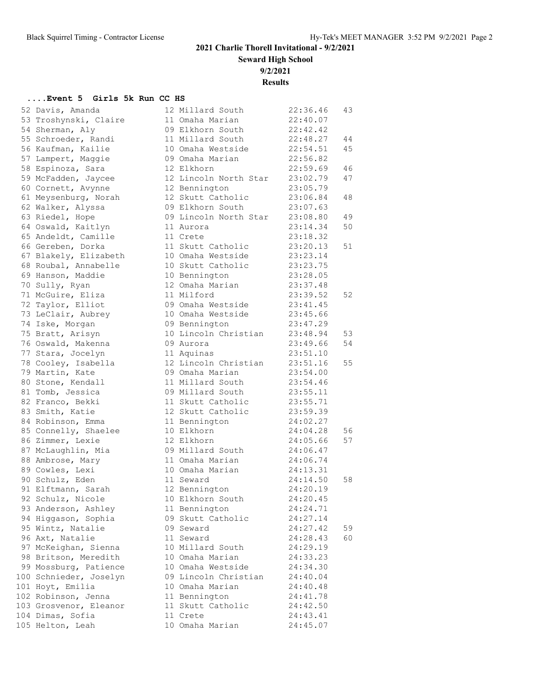**Seward High School**

**9/2/2021**

**Results**

| 52 Davis, Amanda       | 12 Millard South      | 22:36.46 | 43 |
|------------------------|-----------------------|----------|----|
| 53 Troshynski, Claire  | 11 Omaha Marian       | 22:40.07 |    |
| 54 Sherman, Aly        | 09 Elkhorn South      | 22:42.42 |    |
| 55 Schroeder, Randi    | 11 Millard South      | 22:48.27 | 44 |
| 56 Kaufman, Kailie     | 10 Omaha Westside     | 22:54.51 | 45 |
| 57 Lampert, Maggie     | 09 Omaha Marian       | 22:56.82 |    |
| 58 Espinoza, Sara      | 12 Elkhorn            | 22:59.69 | 46 |
| 59 McFadden, Jaycee    | 12 Lincoln North Star | 23:02.79 | 47 |
| 60 Cornett, Avynne     | 12 Bennington         | 23:05.79 |    |
| 61 Meysenburg, Norah   | 12 Skutt Catholic     | 23:06.84 | 48 |
| 62 Walker, Alyssa      | 09 Elkhorn South      | 23:07.63 |    |
| 63 Riedel, Hope        | 09 Lincoln North Star | 23:08.80 | 49 |
| 64 Oswald, Kaitlyn     | 11 Aurora             | 23:14.34 | 50 |
| 65 Andeldt, Camille    | 11 Crete              | 23:18.32 |    |
| 66 Gereben, Dorka      | 11 Skutt Catholic     | 23:20.13 | 51 |
| 67 Blakely, Elizabeth  | 10 Omaha Westside     | 23:23.14 |    |
| 68 Roubal, Annabelle   | 10 Skutt Catholic     | 23:23.75 |    |
| 69 Hanson, Maddie      | 10 Bennington         | 23:28.05 |    |
| 70 Sully, Ryan         | 12 Omaha Marian       | 23:37.48 |    |
| 71 McGuire, Eliza      | 11 Milford            | 23:39.52 | 52 |
| 72 Taylor, Elliot      | 09 Omaha Westside     | 23:41.45 |    |
| 73 LeClair, Aubrey     | 10 Omaha Westside     | 23:45.66 |    |
| 74 Iske, Morgan        | 09 Bennington         | 23:47.29 |    |
| 75 Bratt, Arisyn       | 10 Lincoln Christian  | 23:48.94 | 53 |
| 76 Oswald, Makenna     | 09 Aurora             | 23:49.66 | 54 |
| 77 Stara, Jocelyn      | 11 Aquinas            | 23:51.10 |    |
| 78 Cooley, Isabella    | 12 Lincoln Christian  | 23:51.16 | 55 |
| 79 Martin, Kate        | 09 Omaha Marian       | 23:54.00 |    |
| 80 Stone, Kendall      | 11 Millard South      | 23:54.46 |    |
| 81 Tomb, Jessica       | 09 Millard South      | 23:55.11 |    |
| 82 Franco, Bekki       | 11 Skutt Catholic     | 23:55.71 |    |
|                        | 12 Skutt Catholic     |          |    |
| 83 Smith, Katie        |                       | 23:59.39 |    |
| 84 Robinson, Emma      | 11 Bennington         | 24:02.27 |    |
| 85 Connelly, Shaelee   | 10 Elkhorn            | 24:04.28 | 56 |
| 86 Zimmer, Lexie       | 12 Elkhorn            | 24:05.66 | 57 |
| 87 McLaughlin, Mia     | 09 Millard South      | 24:06.47 |    |
| 88 Ambrose, Mary       | 11 Omaha Marian       | 24:06.74 |    |
| 89 Cowles, Lexi        | 10 Omaha Marian       | 24:13.31 |    |
| 90 Schulz, Eden        | 11 Seward             | 24:14.50 | 58 |
| 91 Elftmann, Sarah     | 12 Bennington         | 24:20.19 |    |
| 92 Schulz, Nicole      | 10 Elkhorn South      | 24:20.45 |    |
| 93 Anderson, Ashley    | 11 Bennington         | 24:24.71 |    |
| 94 Higgason, Sophia    | 09 Skutt Catholic     | 24:27.14 |    |
| 95 Wintz, Natalie      | 09 Seward             | 24:27.42 | 59 |
| 96 Axt, Natalie        | 11 Seward             | 24:28.43 | 60 |
| 97 McKeighan, Sienna   | 10 Millard South      | 24:29.19 |    |
| 98 Britson, Meredith   | 10 Omaha Marian       | 24:33.23 |    |
| 99 Mossburg, Patience  | 10 Omaha Westside     | 24:34.30 |    |
| 100 Schnieder, Joselyn | 09 Lincoln Christian  | 24:40.04 |    |
| 101 Hoyt, Emilia       | 10 Omaha Marian       | 24:40.48 |    |
| 102 Robinson, Jenna    | 11 Bennington         | 24:41.78 |    |
| 103 Grosvenor, Eleanor | 11 Skutt Catholic     | 24:42.50 |    |
| 104 Dimas, Sofia       | 11 Crete              | 24:43.41 |    |
| 105 Helton, Leah       | 10 Omaha Marian       | 24:45.07 |    |
|                        |                       |          |    |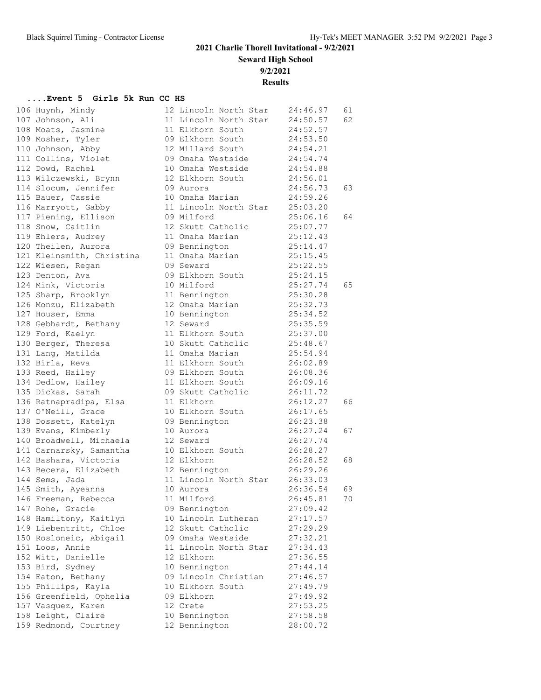**Seward High School**

**9/2/2021**

**Results**

| 106 Huynh, Mindy                                                                       | 12 Lincoln North Star 24:46.97                          |                      | 61 |
|----------------------------------------------------------------------------------------|---------------------------------------------------------|----------------------|----|
|                                                                                        | 11 Lincoln North Star 24:50.57                          |                      | 62 |
|                                                                                        |                                                         | 24:52.57             |    |
| 109 Mosher, Tyler 69 Elkhorn South 24:53.50                                            |                                                         |                      |    |
|                                                                                        |                                                         |                      |    |
| 111 Collins, Violet                                                                    | 09 Omaha Westside 24:54.74                              |                      |    |
| 112 Dowd, Rachel                                                                       | 10 Omaha Westside 24:54.88<br>12 Elkhorn South 24:56.01 |                      |    |
| 113 Wilczewski, Brynn                                                                  |                                                         |                      |    |
| 114 Slocum, Jennifer                                                                   | 09 Aurora                                               | 24:56.73             | 63 |
| 115 Bauer, Cassie                                                                      | 10 Omaha Marian 24:59.26                                |                      |    |
| 116 Marryott, Gabby 11 Lincoln North Star 25:03.20                                     |                                                         |                      |    |
| 116 Marryoco, compositor and 117 Piening, Ellison<br>118 Snow, Caitlin                 | 09 Milford                                              | 25:06.16             | 64 |
|                                                                                        |                                                         | 25:07.77<br>25:12.43 |    |
|                                                                                        |                                                         |                      |    |
|                                                                                        |                                                         |                      |    |
| 121 Kleinsmith, Christina                                                              | 11 Omaha Marian 25:15.45                                |                      |    |
| 122 Wiesen, Regan                                                                      | 09 Seward                                               | 25:22.55             |    |
| 123 Denton, Ava                                                                        | 09 Elkhorn South 25:24.15                               |                      |    |
| 124 Mink, Victoria<br>125 Sharp, Brooklyn                                              | 10 Milford 25:27.74<br>11 Bennington 25:30.28           | 25:27.74             | 65 |
|                                                                                        |                                                         |                      |    |
|                                                                                        |                                                         |                      |    |
| 127 Houser, Emma                                                                       | 10 Bennington 25:34.52                                  |                      |    |
| 128 Gebhardt, Bethany 12 Seward                                                        |                                                         | 25:35.59             |    |
|                                                                                        |                                                         | 25:37.00             |    |
|                                                                                        |                                                         |                      |    |
|                                                                                        |                                                         |                      |    |
|                                                                                        |                                                         |                      |    |
| 133 Reed, Hailey 69 Elkhorn South 26:08.36                                             |                                                         |                      |    |
| 134 Dedlow, Hailey 11 Elkhorn South 26:09.16                                           |                                                         |                      |    |
| 135 Dickas, Sarah                                                                      | 09 Skutt Catholic 26:11.72                              |                      |    |
| 136 Ratnapradipa, Elsa<br>137 O'Neill, Grace                                           | 11 Elkhorn                                              | 26:12.27             | 66 |
| 137 O'Neill, Grace                                                                     | 10 Elkhorn South 26:17.65                               |                      |    |
| 138 Dossett, Katelyn 109 Bennington 26:23.38<br>139 Evans, Kimberly 10 Aurora 26:27.24 |                                                         |                      |    |
|                                                                                        |                                                         | 26:27.24             | 67 |
| 140 Broadwell, Michaela 12 Seward                                                      |                                                         | 26:27.74             |    |
| 141 Carnarsky, Samantha 10 Elkhorn South 26:28.27                                      |                                                         |                      |    |
| 142 Bashara, Victoria                                                                  | 12 Elkhorn                                              | 26:28.52             | 68 |
| 112 Elkhorn<br>143 Becera, Elizabeth 12 Bennington<br>144 Guilland 12 Bennington       |                                                         | 26:29.26             |    |
| 144 Sems, Jada                                                                         | 11 Lincoln North Star 26:33.03                          |                      |    |
| 145 Smith, Ayeanna 10 Aurora                                                           |                                                         | 26:36.54             | 69 |
| 146 Freeman, Rebecca                                                                   | 11 Milford                                              | 26:45.81             | 70 |
| 147 Rohe, Gracie                                                                       | 09 Bennington                                           | 27:09.42             |    |
| 148 Hamiltony, Kaitlyn                                                                 | 10 Lincoln Lutheran                                     | 27:17.57             |    |
| 149 Liebentritt, Chloe                                                                 | 12 Skutt Catholic                                       | 27:29.29             |    |
| 150 Rosloneic, Abigail                                                                 | 09 Omaha Westside                                       | 27:32.21             |    |
| 151 Loos, Annie                                                                        | 11 Lincoln North Star                                   | 27:34.43             |    |
| 152 Witt, Danielle                                                                     | 12 Elkhorn                                              | 27:36.55             |    |
| 153 Bird, Sydney                                                                       | 10 Bennington                                           | 27:44.14             |    |
| 154 Eaton, Bethany                                                                     | 09 Lincoln Christian                                    | 27:46.57             |    |
| 155 Phillips, Kayla                                                                    | 10 Elkhorn South                                        | 27:49.79             |    |
| 156 Greenfield, Ophelia                                                                | 09 Elkhorn                                              | 27:49.92             |    |
| 157 Vasquez, Karen                                                                     | 12 Crete                                                | 27:53.25             |    |
| 158 Leight, Claire                                                                     | 10 Bennington                                           | 27:58.58             |    |
| 159 Redmond, Courtney                                                                  | 12 Bennington                                           | 28:00.72             |    |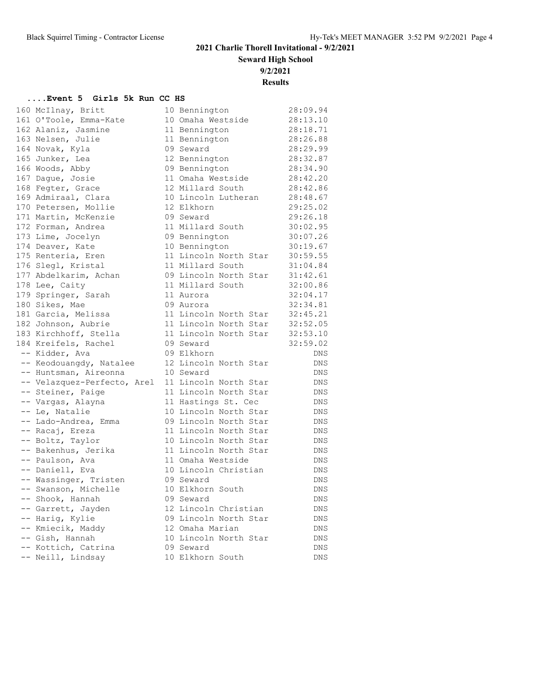**Seward High School**

**9/2/2021**

**Results**

| 160 McIlnay, Britt          | 10 Bennington         | 28:09.94   |
|-----------------------------|-----------------------|------------|
| 161 O'Toole, Emma-Kate      | 10 Omaha Westside     | 28:13.10   |
| 162 Alaniz, Jasmine         | 11 Bennington         | 28:18.71   |
| 163 Nelsen, Julie           | 11 Bennington         | 28:26.88   |
| 164 Novak, Kyla             | 09 Seward             | 28:29.99   |
| 165 Junker, Lea             | 12 Bennington         | 28:32.87   |
| 166 Woods, Abby             | 09 Bennington         | 28:34.90   |
| 167 Dague, Josie            | 11 Omaha Westside     | 28:42.20   |
| 168 Fegter, Grace           | 12 Millard South      | 28:42.86   |
| 169 Admiraal, Clara         | 10 Lincoln Lutheran   | 28:48.67   |
| 170 Petersen, Mollie        | 12 Elkhorn            | 29:25.02   |
| 171 Martin, McKenzie        | 09 Seward             | 29:26.18   |
| 172 Forman, Andrea          | 11 Millard South      | 30:02.95   |
| 173 Lime, Jocelyn           | 09 Bennington         | 30:07.26   |
| 174 Deaver, Kate            | 10 Bennington         | 30:19.67   |
| 175 Renteria, Eren          | 11 Lincoln North Star | 30:59.55   |
| 176 Slegl, Kristal          | 11 Millard South      | 31:04.84   |
| 177 Abdelkarim, Achan       | 09 Lincoln North Star | 31:42.61   |
| 178 Lee, Caity              | 11 Millard South      | 32:00.86   |
| 179 Springer, Sarah         | 11 Aurora             | 32:04.17   |
| 180 Sikes, Mae              | 09 Aurora             | 32:34.81   |
| 181 Garcia, Melissa         | 11 Lincoln North Star | 32:45.21   |
| 182 Johnson, Aubrie         | 11 Lincoln North Star | 32:52.05   |
| 183 Kirchhoff, Stella       | 11 Lincoln North Star | 32:53.10   |
| 184 Kreifels, Rachel        | 09 Seward             | 32:59.02   |
| -- Kidder, Ava              | 09 Elkhorn            | <b>DNS</b> |
| -- Keodouangdy, Natalee     | 12 Lincoln North Star | <b>DNS</b> |
| -- Huntsman, Aireonna       | 10 Seward             | <b>DNS</b> |
| -- Velazquez-Perfecto, Arel | 11 Lincoln North Star | <b>DNS</b> |
| -- Steiner, Paige           | 11 Lincoln North Star | DNS        |
| -- Vargas, Alayna           | 11 Hastings St. Cec   | DNS        |
| -- Le, Natalie              | 10 Lincoln North Star | DNS        |
| -- Lado-Andrea, Emma        | 09 Lincoln North Star | DNS        |
| -- Racaj, Ereza             | 11 Lincoln North Star | <b>DNS</b> |
| -- Boltz, Taylor            | 10 Lincoln North Star | <b>DNS</b> |
| -- Bakenhus, Jerika         | 11 Lincoln North Star | <b>DNS</b> |
| -- Paulson, Ava             | 11 Omaha Westside     | <b>DNS</b> |
| -- Daniell, Eva             | 10 Lincoln Christian  | DNS        |
| -- Wassinger, Tristen       | 09 Seward             | <b>DNS</b> |
| -- Swanson, Michelle        | 10 Elkhorn South      | DNS        |
| -- Shook, Hannah            | 09 Seward             | <b>DNS</b> |
| -- Garrett, Jayden          | 12 Lincoln Christian  | DNS        |
| -- Harig, Kylie             | 09 Lincoln North Star | <b>DNS</b> |
| -- Kmiecik, Maddy           | 12 Omaha Marian       | <b>DNS</b> |
| -- Gish, Hannah             | 10 Lincoln North Star | <b>DNS</b> |
| -- Kottich, Catrina         | 09 Seward             | <b>DNS</b> |
| -- Neill, Lindsay           | 10 Elkhorn South      | DNS        |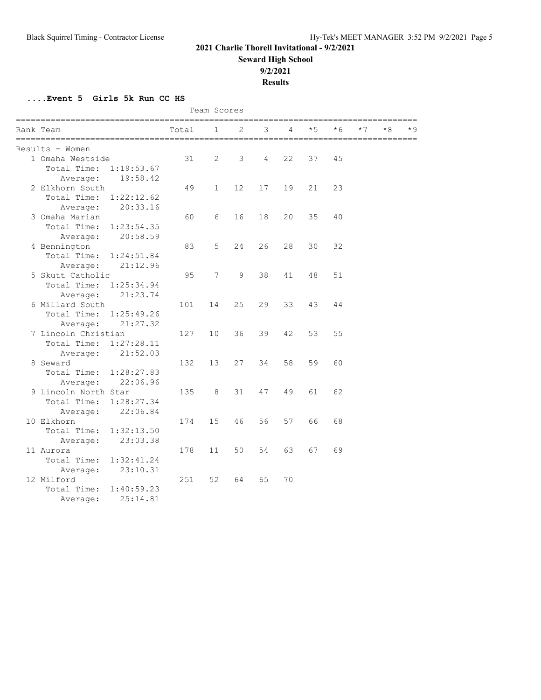**Seward High School**

**9/2/2021**

**Results**

| Team Scores                           |       |              |    |    |    |      |      |      |    |      |
|---------------------------------------|-------|--------------|----|----|----|------|------|------|----|------|
| Rank Team<br>======================== | Total | 1            | 2  | 3  | 4  | $*5$ | $*6$ | $*7$ | *8 | $*9$ |
| Results - Women                       |       |              |    |    |    |      |      |      |    |      |
| 1 Omaha Westside                      | 31    | 2            | 3  | 4  | 22 | 37   | 45   |      |    |      |
| Total Time:<br>1:19:53.67             |       |              |    |    |    |      |      |      |    |      |
| 19:58.42<br>Average:                  |       |              |    |    |    |      |      |      |    |      |
| 2 Elkhorn South                       | 49    | $\mathbf{1}$ | 12 | 17 | 19 | 21   | 23   |      |    |      |
| Total Time:<br>1:22:12.62             |       |              |    |    |    |      |      |      |    |      |
| 20:33.16<br>Average:                  |       |              |    |    |    |      |      |      |    |      |
| 3 Omaha Marian                        | 60    | 6            | 16 | 18 | 20 | 35   | 40   |      |    |      |
| Total Time:<br>1:23:54.35             |       |              |    |    |    |      |      |      |    |      |
| 20:58.59<br>Average:                  |       |              |    |    |    |      |      |      |    |      |
| 4 Bennington                          | 83    | 5            | 24 | 26 | 28 | 30   | 32   |      |    |      |
| Total Time:<br>1:24:51.84             |       |              |    |    |    |      |      |      |    |      |
| 21:12.96<br>Average:                  |       |              |    |    |    |      |      |      |    |      |
| 5 Skutt Catholic                      | 95    | 7            | 9  | 38 | 41 | 48   | 51   |      |    |      |
| Total Time:<br>1:25:34.94             |       |              |    |    |    |      |      |      |    |      |
| 21:23.74<br>Average:                  |       |              |    |    |    |      |      |      |    |      |
| 6 Millard South                       | 101   | 14           | 25 | 29 | 33 | 43   | 44   |      |    |      |
| Total Time:<br>1:25:49.26             |       |              |    |    |    |      |      |      |    |      |
| 21:27.32<br>Average:                  |       |              |    |    |    |      |      |      |    |      |
| 7 Lincoln Christian                   | 127   | 10           | 36 | 39 | 42 | 53   | 55   |      |    |      |
| Total Time:<br>1:27:28.11             |       |              |    |    |    |      |      |      |    |      |
| 21:52.03<br>Average:                  |       |              |    |    |    |      |      |      |    |      |
| 8 Seward                              | 132   | 13           | 27 | 34 | 58 | 59   | 60   |      |    |      |
| Total Time:<br>1:28:27.83             |       |              |    |    |    |      |      |      |    |      |
| 22:06.96<br>Average:                  |       |              |    |    |    |      |      |      |    |      |
| 9 Lincoln North Star                  | 135   | 8            | 31 | 47 | 49 | 61   | 62   |      |    |      |
| Total Time:<br>1:28:27.34             |       |              |    |    |    |      |      |      |    |      |
| 22:06.84<br>Average:                  |       |              |    |    |    |      |      |      |    |      |
| 10 Elkhorn                            | 174   | 15           | 46 | 56 | 57 | 66   | 68   |      |    |      |
| Total Time:<br>1:32:13.50             |       |              |    |    |    |      |      |      |    |      |
| 23:03.38<br>Average:                  |       |              |    |    |    |      |      |      |    |      |
| 11 Aurora                             | 178   | 11           | 50 | 54 | 63 | 67   | 69   |      |    |      |
| Total Time:<br>1:32:41.24             |       |              |    |    |    |      |      |      |    |      |
| 23:10.31<br>Average:                  |       |              |    |    |    |      |      |      |    |      |
| 12 Milford                            | 251   | 52           | 64 | 65 | 70 |      |      |      |    |      |
| Total Time:<br>1:40:59.23             |       |              |    |    |    |      |      |      |    |      |
| 25:14.81<br>Average:                  |       |              |    |    |    |      |      |      |    |      |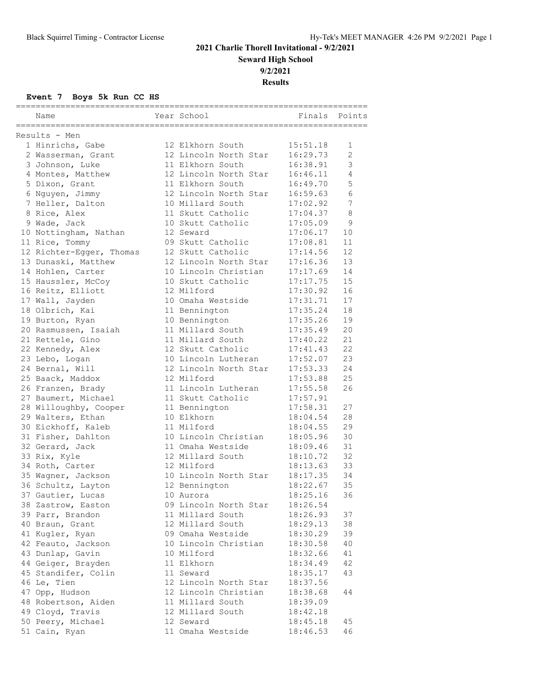# **2021 Charlie Thorell Invitational - 9/2/2021 Seward High School 9/2/2021**

**Results**

| Name                     | Year School           | Finals Points |                |
|--------------------------|-----------------------|---------------|----------------|
|                          |                       |               |                |
| Results - Men            |                       |               |                |
| 1 Hinrichs, Gabe         | 12 Elkhorn South      | 15:51.18      | 1              |
| 2 Wasserman, Grant       | 12 Lincoln North Star | 16:29.73      | $\overline{2}$ |
| 3 Johnson, Luke          | 11 Elkhorn South      | 16:38.91      | 3              |
| 4 Montes, Matthew        | 12 Lincoln North Star | 16:46.11      | $\overline{4}$ |
| 5 Dixon, Grant           | 11 Elkhorn South      | 16:49.70      | 5              |
| 6 Nguyen, Jimmy          | 12 Lincoln North Star | 16:59.63      | 6              |
| 7 Heller, Dalton         | 10 Millard South      | 17:02.92      | 7              |
| 8 Rice, Alex             | 11 Skutt Catholic     | 17:04.37      | $\,8\,$        |
| 9 Wade, Jack             | 10 Skutt Catholic     | 17:05.09      | $\overline{9}$ |
| 10 Nottingham, Nathan    | 12 Seward             | 17:06.17      | 10             |
| 11 Rice, Tommy           | 09 Skutt Catholic     | 17:08.81      | 11             |
| 12 Richter-Egger, Thomas | 12 Skutt Catholic     | 17:14.56      | 12             |
| 13 Dunaski, Matthew      | 12 Lincoln North Star | 17:16.36      | 13             |
| 14 Hohlen, Carter        | 10 Lincoln Christian  | 17:17.69      | 14             |
| 15 Haussler, McCoy       | 10 Skutt Catholic     | 17:17.75      | 15             |
| 16 Reitz, Elliott        | 12 Milford            | 17:30.92      | 16             |
| 17 Wall, Jayden          | 10 Omaha Westside     | 17:31.71      | 17             |
| 18 Olbrich, Kai          | 11 Bennington         | 17:35.24      | 18             |
| 19 Burton, Ryan          | 10 Bennington         | 17:35.26      | 19             |
| 20 Rasmussen, Isaiah     | 11 Millard South      | 17:35.49      | 20             |
| 21 Rettele, Gino         | 11 Millard South      | 17:40.22      | 21             |
| 22 Kennedy, Alex         | 12 Skutt Catholic     | 17:41.43      | 22             |
| 23 Lebo, Logan           | 10 Lincoln Lutheran   | 17:52.07      | 23             |
| 24 Bernal, Will          | 12 Lincoln North Star | 17:53.33      | 24             |
| 25 Baack, Maddox         | 12 Milford            | 17:53.88      | 25             |
| 26 Franzen, Brady        | 11 Lincoln Lutheran   | 17:55.58      | 26             |
| 27 Baumert, Michael      | 11 Skutt Catholic     | 17:57.91      |                |
| 28 Willoughby, Cooper    | 11 Bennington         | 17:58.31      | 27             |
| 29 Walters, Ethan        | 10 Elkhorn            | 18:04.54      | 28             |
| 30 Eickhoff, Kaleb       | 11 Milford            | 18:04.55      | 29             |
| 31 Fisher, Dahlton       | 10 Lincoln Christian  | 18:05.96      | 30             |
| 32 Gerard, Jack          | 11 Omaha Westside     | 18:09.46      | 31             |
| 33 Rix, Kyle             | 12 Millard South      | 18:10.72      | 32             |
| 34 Roth, Carter          | 12 Milford            | 18:13.63      | 33             |
| 35 Wagner, Jackson       | 10 Lincoln North Star | 18:17.35      | 34             |
| 36 Schultz, Layton       | 12 Bennington         | 18:22.67      | 35             |
| 37 Gautier, Lucas        | 10 Aurora             | 18:25.16      | 36             |
| 38 Zastrow, Easton       | 09 Lincoln North Star | 18:26.54      |                |
| 39 Parr, Brandon         | 11 Millard South      | 18:26.93      | 37             |
| 40 Braun, Grant          | 12 Millard South      | 18:29.13      | 38             |
| 41 Kugler, Ryan          | 09 Omaha Westside     | 18:30.29      | 39             |
| 42 Feauto, Jackson       | 10 Lincoln Christian  | 18:30.58      | 40             |
| 43 Dunlap, Gavin         | 10 Milford            | 18:32.66      | 41             |
| 44 Geiger, Brayden       | 11 Elkhorn            | 18:34.49      | 42             |
| 45 Standifer, Colin      | 11 Seward             | 18:35.17      | 43             |
| 46 Le, Tien              | 12 Lincoln North Star | 18:37.56      |                |
| 47 Opp, Hudson           | 12 Lincoln Christian  | 18:38.68      | 44             |
| 48 Robertson, Aiden      | 11 Millard South      | 18:39.09      |                |
| 49 Cloyd, Travis         | 12 Millard South      | 18:42.18      |                |
| 50 Peery, Michael        | 12 Seward             | 18:45.18      | 45             |
| 51 Cain, Ryan            | 11 Omaha Westside     | 18:46.53      | 46             |
|                          |                       |               |                |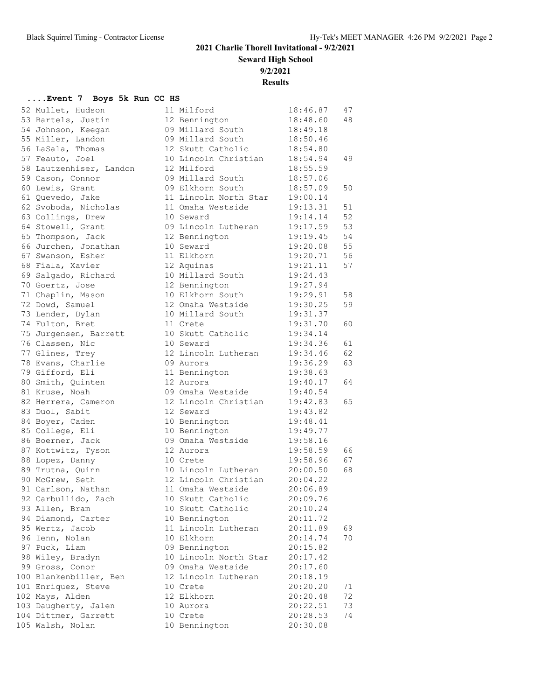**Seward High School**

**9/2/2021**

**Results**

|          | 52 Mullet, Hudson                   | 11              |
|----------|-------------------------------------|-----------------|
|          | 53 Bartels, Justin                  | 12              |
|          | 54 Johnson, Keegan                  | 09              |
|          | 55 Miller, Landon                   | 09              |
|          | 56 LaSala, Thomas                   | 12 <sup>°</sup> |
|          | 57 Feauto, Joel                     | 10              |
|          | 58 Lautzenhiser, Landon             | 12              |
|          | 59 Cason, Connor                    | 09              |
|          | 60 Lewis, Grant                     | 09              |
|          | 61 Quevedo, Jake                    | 11              |
|          | 62 Svoboda, Nicholas                | 11              |
|          | 63 Collings, Drew                   | 10 <sub>o</sub> |
|          | 64 Stowell, Grant                   | 09              |
|          | 65 Thompson, Jack                   | 12              |
|          | 66 Jurchen, Jonathan                | 10              |
|          | 67 Swanson, Esher                   | 11              |
|          | 68 Fiala, Xavier                    | 12 <sup>°</sup> |
|          | 69 Salgado, Richard                 | 10              |
|          | 70 Goertz, Jose                     | 12              |
|          | 71 Chaplin, Mason                   | 10              |
|          | 72 Dowd, Samuel                     | 12              |
| 73       | Lender, Dylan                       | $10$            |
|          | 74 Fulton, Bret                     | 11              |
|          | 75 Jurgensen, Barrett               | 10              |
|          | 76 Classen, Nic                     | 10              |
|          | 77 Glines, Trey                     | 12              |
| 78       | Evans, Charlie                      | 09              |
|          | 79 Gifford, Eli                     | 11              |
|          | 80 Smith, Quinten                   | 12 <sup>°</sup> |
|          | 81 Kruse, Noah                      | 09              |
|          | 82 Herrera, Cameron                 | 12              |
|          | 83 Duol, Sabit                      | 12              |
| 84       | Boyer, Caden                        | 10              |
|          | 85 College, Eli                     | 10              |
|          | 86 Boerner, Jack                    | 09              |
|          | 87 Kottwitz, Tyson                  | 12              |
|          | 88 Lopez, Danny                     | 10              |
|          | 89 Trutna, Quinn<br>90 McGrew, Seth | 10 <sub>o</sub> |
|          |                                     | 12 <sup>°</sup> |
|          | 91 Carlson, Nathan                  | 11              |
|          | 92 Carbullido, Zach                 | 10 <sub>o</sub> |
| 93       | Allen, Bram                         | 10              |
| 94       | Diamond, Carter                     | 10              |
| 95       | Wertz, Jacob<br>Ienn, Nolan         | 11<br>10        |
| 96<br>97 | Puck, Liam                          | 09              |
| 98       |                                     | 10              |
| 99       | Wiley, Bradyn                       |                 |
| L 0 0    | Gross, Conor                        | 09<br>12        |
| 101      | Blankenbiller, Ben                  | 10              |
| L 0 2    | Enriquez, Steve                     | 12              |
| 103      | Mays, Alden<br>Daugherty, Jalen     | 10              |
| l 0 4    | Dittmer, Garrett                    | 10              |
| 105      | Walsh, Nolan                        | 10              |
|          |                                     |                 |

| 52 Mullet, Hudson                            | 11 Milford            | 18:46.87 | 47 |
|----------------------------------------------|-----------------------|----------|----|
| 53 Bartels, Justin                           | 12 Bennington         | 18:48.60 | 48 |
| 54 Johnson, Keegan                           | 09 Millard South      | 18:49.18 |    |
| 55 Miller, Landon                            | 09 Millard South      | 18:50.46 |    |
| 56 LaSala, Thomas                            | 12 Skutt Catholic     | 18:54.80 |    |
| 57 Feauto, Joel                              | 10 Lincoln Christian  | 18:54.94 | 49 |
| 58 Lautzenhiser, Landon                      | 12 Milford            | 18:55.59 |    |
| 59 Cason, Connor                             | 09 Millard South      | 18:57.06 |    |
| 60 Lewis, Grant                              | 09 Elkhorn South      | 18:57.09 | 50 |
| 61 Quevedo, Jake                             | 11 Lincoln North Star | 19:00.14 |    |
| 62 Svoboda, Nicholas                         | 11 Omaha Westside     | 19:13.31 | 51 |
| 63 Collings, Drew                            | 10 Seward             | 19:14.14 | 52 |
| 64 Stowell, Grant                            | 09 Lincoln Lutheran   | 19:17.59 | 53 |
| 65 Thompson, Jack                            | 12 Bennington         | 19:19.45 | 54 |
| 66 Jurchen, Jonathan                         | 10 Seward             | 19:20.08 | 55 |
| 67 Swanson, Esher                            | 11 Elkhorn            | 19:20.71 | 56 |
| 68 Fiala, Xavier                             | 12 Aquinas            | 19:21.11 | 57 |
|                                              | 10 Millard South      |          |    |
| 69 Salgado, Richard<br>70 Goertz, Jose       |                       | 19:24.43 |    |
|                                              | 12 Bennington         | 19:27.94 |    |
| 71 Chaplin, Mason                            | 10 Elkhorn South      | 19:29.91 | 58 |
| 72 Dowd, Samuel                              | 12 Omaha Westside     | 19:30.25 | 59 |
| 73 Lender, Dylan                             | 10 Millard South      | 19:31.37 |    |
| 74 Fulton, Bret                              | 11 Crete              | 19:31.70 | 60 |
| 75 Jurgensen, Barrett                        | 10 Skutt Catholic     | 19:34.14 |    |
| 76 Classen, Nic                              | 10 Seward             | 19:34.36 | 61 |
| 77 Glines, Trey                              | 12 Lincoln Lutheran   | 19:34.46 | 62 |
| 78 Evans, Charlie                            | 09 Aurora             | 19:36.29 | 63 |
| 79 Gifford, Eli                              | 11 Bennington         | 19:38.63 |    |
| 80 Smith, Quinten                            | 12 Aurora             | 19:40.17 | 64 |
| 81 Kruse, Noah                               | 09 Omaha Westside     | 19:40.54 |    |
| 82 Herrera, Cameron                          | 12 Lincoln Christian  | 19:42.83 | 65 |
| 83 Duol, Sabit                               | 12 Seward             | 19:43.82 |    |
| 84 Boyer, Caden                              | 10 Bennington         | 19:48.41 |    |
| 85 College, Eli                              | 10 Bennington         | 19:49.77 |    |
| 86 Boerner, Jack                             | 09 Omaha Westside     | 19:58.16 |    |
| 87 Kottwitz, Tyson                           | 12 Aurora             | 19:58.59 | 66 |
| 88 Lopez, Danny                              | 10 Crete              | 19:58.96 | 67 |
| 89 Trutna, Quinn                             | 10 Lincoln Lutheran   | 20:00.50 | 68 |
| 90 McGrew, Seth                              | 12 Lincoln Christian  | 20:04.22 |    |
| 91 Carlson, Nathan                           | 11 Omaha Westside     | 20:06.89 |    |
| 92 Carbullido, Zach                          | 10 Skutt Catholic     | 20:09.76 |    |
| 93 Allen, Bram                               | 10 Skutt Catholic     | 20:10.24 |    |
| 94 Diamond, Carter                           | 10 Bennington         | 20:11.72 |    |
| 95 Wertz, Jacob                              | 11 Lincoln Lutheran   | 20:11.89 | 69 |
| 96 Ienn, Nolan                               | 10 Elkhorn            | 20:14.74 | 70 |
| 97 Puck, Liam                                | 09 Bennington         | 20:15.82 |    |
| 98 Wiley, Bradyn                             | 10 Lincoln North Star | 20:17.42 |    |
| 99 Gross, Conor                              | 09 Omaha Westside     | 20:17.60 |    |
| 100 Blankenbiller, Ben                       | 12 Lincoln Lutheran   | 20:18.19 |    |
| 101 Enriquez, Steve                          | 10 Crete              | 20:20.20 | 71 |
|                                              | 12 Elkhorn            | 20:20.48 | 72 |
| 102 Mays, Alden                              | 10 Aurora             | 20:22.51 | 73 |
| 103 Daugherty, Jalen<br>104 Dittmer, Garrett | 10 Crete              | 20:28.53 | 74 |
|                                              |                       |          |    |
| 105 Walsh, Nolan                             | 10 Bennington         | 20:30.08 |    |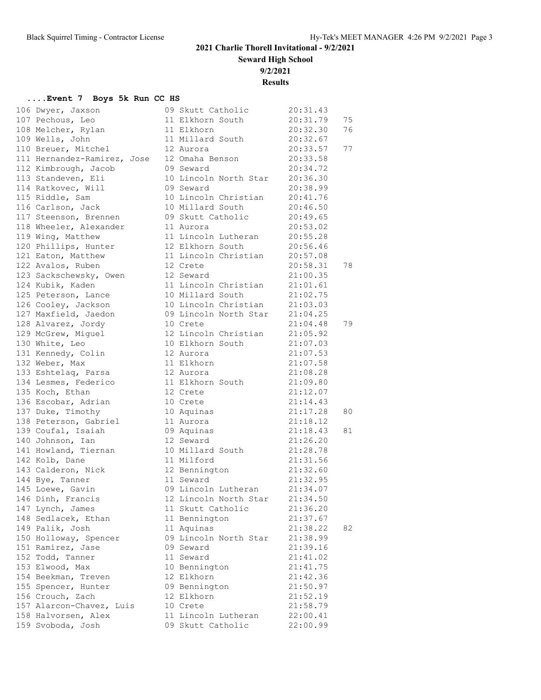**Seward High School**

**9/2/2021**

**Results**

|                                                                                                                                                                                                                                                              |                                |          | 75 |
|--------------------------------------------------------------------------------------------------------------------------------------------------------------------------------------------------------------------------------------------------------------|--------------------------------|----------|----|
| 108 Melcher, Rylan 11 Elkhorn                                                                                                                                                                                                                                |                                | 20:32.30 | 76 |
| 109 Wells, John                                                                                                                                                                                                                                              | 11 Millard South 20:32.67      |          |    |
| 110 Breuer, Mitchel 12 Aurora                                                                                                                                                                                                                                |                                | 20:33.57 | 77 |
| 111 Hernandez-Ramirez, Jose 12 Omaha Benson 20:33.58                                                                                                                                                                                                         |                                |          |    |
|                                                                                                                                                                                                                                                              | 09 Seward                      | 20:34.72 |    |
| 112 Kimbrough, Jacob<br>113 Standeven, Eli                                                                                                                                                                                                                   | 10 Lincoln North Star 20:36.30 |          |    |
|                                                                                                                                                                                                                                                              | 09 Seward                      | 20:38.99 |    |
| --- ------------, ---<br>114 Ratkovec, Will<br>115 Riddle, Sam                                                                                                                                                                                               | 10 Lincoln Christian 20:41.76  |          |    |
| 116 Carlson, Jack 10 Millard South 20:46.50                                                                                                                                                                                                                  |                                |          |    |
| 117 Steenson, Brennen and 09 Skutt Catholic 20:49.65                                                                                                                                                                                                         |                                |          |    |
|                                                                                                                                                                                                                                                              |                                |          |    |
| 118 Wheeler, Alexander 11 Aurora 11 20:53.02<br>119 Wing, Matthew 11 Lincoln Lutheran 20:55.28<br>120 Phillips, Hunter 12 Elkhorn South 20:56.46                                                                                                             |                                |          |    |
|                                                                                                                                                                                                                                                              |                                |          |    |
| 121 Eaton, Matthew                                                                                                                                                                                                                                           | 11 Lincoln Christian 20:57.08  |          |    |
| 122 Avalos, Ruben 12 Crete 20:58.31<br>123 Sackschewsky, Owen 12 Seward 21:00.35<br>124 Kubik, Kaden 11 Lincoln Christian 21:01.61<br>125 Peterson, Lance 10 Millard South 21:02.75                                                                          |                                |          | 78 |
|                                                                                                                                                                                                                                                              |                                |          |    |
|                                                                                                                                                                                                                                                              |                                |          |    |
|                                                                                                                                                                                                                                                              |                                |          |    |
| 126 Cooley, Jackson 10 Lincoln Christian 21:03.03                                                                                                                                                                                                            |                                |          |    |
| 127 Maxfield, Jaedon 69 Lincoln North Star 21:04.25                                                                                                                                                                                                          |                                |          |    |
|                                                                                                                                                                                                                                                              |                                | 21:04.48 | 79 |
|                                                                                                                                                                                                                                                              |                                |          |    |
| 127 Maximeta, Jordy<br>128 Alvarez, Jordy<br>129 McGrew, Miguel<br>12 Lincoln Christian<br>12 Lincoln Christian<br>21:05.92<br>130 White, Leo<br>12 Aurora<br>12 Aurora<br>12 Aurora<br>21:07.03<br>21:07.53<br>21:07.53<br>21:07.53<br>21:07.53<br>21:07.53 |                                |          |    |
|                                                                                                                                                                                                                                                              |                                |          |    |
|                                                                                                                                                                                                                                                              |                                |          |    |
| 133 Eshtelaq, Parsa 12 Aurora                                                                                                                                                                                                                                |                                | 21:08.28 |    |
| 134 Lesmes, Federico 11 Elkhorn South 21:09.80                                                                                                                                                                                                               |                                |          |    |
| 135 Koch, Ethan 12 Crete 21:12.07<br>136 Escobar, Adrian 10 Crete 21:14.43<br>137 Duke, Timothy 10 Aquinas 21:17.28<br>138 Peterson, Gabriel 11 Aurora 21:18.12                                                                                              |                                |          |    |
|                                                                                                                                                                                                                                                              |                                |          |    |
|                                                                                                                                                                                                                                                              |                                | 21:17.28 | 80 |
|                                                                                                                                                                                                                                                              |                                |          |    |
|                                                                                                                                                                                                                                                              |                                |          | 81 |
|                                                                                                                                                                                                                                                              |                                |          |    |
|                                                                                                                                                                                                                                                              |                                |          |    |
|                                                                                                                                                                                                                                                              |                                |          |    |
| 141 Howland, Tiernan 10 Millard South 21:28.78<br>142 Kolb, Dane 11 Milford 21:31.56<br>143 Calderon, Nick 12 Bennington 21:32.60<br>144 Bye, Tanner 11 Seward 21:32.95                                                                                      |                                |          |    |
|                                                                                                                                                                                                                                                              |                                |          |    |
|                                                                                                                                                                                                                                                              |                                |          |    |
|                                                                                                                                                                                                                                                              |                                |          |    |
| 147 Lynch, James                                                                                                                                                                                                                                             | 11 Skutt Catholic              | 21:36.20 |    |
| 148 Sedlacek, Ethan                                                                                                                                                                                                                                          | 11 Bennington                  | 21:37.67 |    |
| 149 Palik, Josh                                                                                                                                                                                                                                              | 11 Aquinas                     | 21:38.22 | 82 |
| 150 Holloway, Spencer                                                                                                                                                                                                                                        | 09 Lincoln North Star          | 21:38.99 |    |
| 151 Ramirez, Jase                                                                                                                                                                                                                                            | 09 Seward                      | 21:39.16 |    |
| 152 Todd, Tanner                                                                                                                                                                                                                                             | 11 Seward                      | 21:41.02 |    |
| 153 Elwood, Max                                                                                                                                                                                                                                              | 10 Bennington                  | 21:41.75 |    |
| 154 Beekman, Treven                                                                                                                                                                                                                                          | 12 Elkhorn                     | 21:42.36 |    |
| 155 Spencer, Hunter                                                                                                                                                                                                                                          | 09 Bennington                  | 21:50.97 |    |
| 156 Crouch, Zach                                                                                                                                                                                                                                             | 12 Elkhorn                     | 21:52.19 |    |
| 157 Alarcon-Chavez, Luis                                                                                                                                                                                                                                     | 10 Crete                       | 21:58.79 |    |
| 158 Halvorsen, Alex                                                                                                                                                                                                                                          | 11 Lincoln Lutheran            | 22:00.41 |    |
| 159 Svoboda, Josh                                                                                                                                                                                                                                            | 09 Skutt Catholic              | 22:00.99 |    |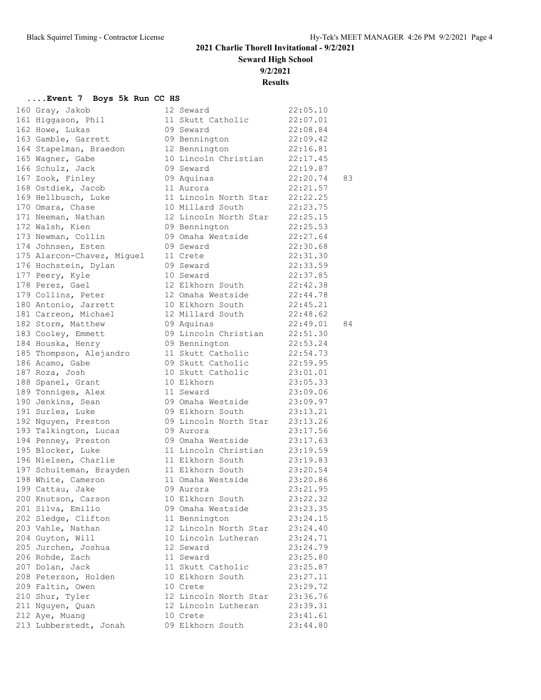**Seward High School**

**9/2/2021**

**Results**

| 160 | Gray, Jakob                               |
|-----|-------------------------------------------|
| 161 | Higgason, Phil                            |
| 162 | Howe, Lukas                               |
| 163 | Gamble, Garrett                           |
| 164 | Stapelman, Braedon                        |
| 165 |                                           |
| 166 | Wagner, Gabe<br>Schulz, Jack              |
| 167 | Zook, Finley                              |
| 168 | Ostdiek, Jacob                            |
| 169 | Hellbusch, Luke                           |
| 170 | Omara, Chase                              |
| 171 |                                           |
| 172 | Neeman, Nathan<br>Walsh, Kien             |
| 173 | Newman, Collin                            |
|     | 174 Johnsen, Esten                        |
| 175 | Alarcon-Chavez, Miguel                    |
|     |                                           |
| 176 | Hochstein, Dylan                          |
| 177 | Peery, Kyle<br>Perez, Gael                |
| 178 |                                           |
| 179 | Collins, Peter                            |
| 180 | Antonio, Jarrett                          |
|     | 181 Carreon, Michael                      |
|     | 182 Storm, Matthew                        |
| 183 | Cooley, Emmett                            |
| 184 | Houska, Henry                             |
| 185 | Thompson, Alejandro                       |
| 186 | Acamo, Gabe                               |
| 187 | Roza, Josh                                |
| 188 | Spanel, Grant                             |
| 189 | Tonniges, Alex                            |
| 190 | Jenkins, Sean                             |
| 191 | Surles, Luke                              |
| 192 | Nguyen, Preston                           |
| 193 | Talkington, Lucas                         |
|     | 194 Penney, Preston                       |
|     |                                           |
|     | 195 Blocker, Luke<br>196 Nielsen, Charlie |
|     | 197 Schuiteman, Brayden                   |
|     | 198 White, Cameron                        |
|     | 199 Cattau, Jake                          |
|     | 200 Knutson, Carson                       |
|     | 201 Silva, Emilio<br>202 Sledge, Clifton  |
|     |                                           |
|     | 203 Vahle, Nathan                         |
|     | 204 Guyton, Will                          |
|     | 205 Jurchen, Joshua                       |
| 206 | Rohde, Zach                               |
| 207 | Dolan, Jack                               |
| 208 | Peterson, Holden                          |
|     | 209 Faltin, Owen                          |
|     | 210 Shur, Tyler                           |
|     | 211 Nguyen, Quan                          |
|     | 212 Aye, Muang                            |
|     | 213 Lubberstedt, Jonah                    |
|     |                                           |

| 160 Gray, Jakob                                                                                | 12 Seward             | 22:05.10 |    |
|------------------------------------------------------------------------------------------------|-----------------------|----------|----|
| 161 Higgason, Phil                                                                             | 11 Skutt Catholic     | 22:07.01 |    |
| 162 Howe, Lukas                                                                                | 09 Seward             | 22:08.84 |    |
| 163 Gamble, Garrett                                                                            | 09 Bennington         | 22:09.42 |    |
| 164 Stapelman, Braedon                                                                         | 12 Bennington         | 22:16.81 |    |
| 165 Wagner, Gabe                                                                               | 10 Lincoln Christian  | 22:17.45 |    |
| 166 Schulz, Jack                                                                               | 09 Seward             | 22:19.87 |    |
| 167 Zook, Finley                                                                               | 09 Aquinas            | 22:20.74 | 83 |
| 168 Ostdiek, Jacob                                                                             | 11 Aurora             | 22:21.57 |    |
| 169 Hellbusch, Luke                                                                            | 11 Lincoln North Star | 22:22.25 |    |
| 170 Omara, Chase                                                                               | 10 Millard South      | 22:23.75 |    |
| 171 Neeman, Nathan                                                                             | 12 Lincoln North Star | 22:25.15 |    |
| 172 Walsh, Kien                                                                                | 09 Bennington         | 22:25.53 |    |
| 173 Newman, Collin                                                                             | 09 Omaha Westside     | 22:27.64 |    |
| 174 Johnsen, Esten                                                                             | 09 Seward             | 22:30.68 |    |
| 175 Alarcon-Chavez, Miguel                                                                     | 11 Crete              | 22:31.30 |    |
| 176 Hochstein, Dylan                                                                           | 09 Seward             | 22:33.59 |    |
| 177 Peery, Kyle                                                                                | 10 Seward             | 22:37.85 |    |
| 178 Perez, Gael                                                                                | 12 Elkhorn South      | 22:42.38 |    |
| 179 Collins, Peter                                                                             | 12 Omaha Westside     | 22:44.78 |    |
|                                                                                                | 10 Elkhorn South      | 22:45.21 |    |
| 180 Antonio, Jarrett<br>181 Carreon, Michael<br>182 Storm, Matthew                             | 12 Millard South      | 22:48.62 |    |
|                                                                                                | 09 Aquinas            | 22:49.01 | 84 |
| 183 Cooley, Emmett                                                                             | 09 Lincoln Christian  | 22:51.30 |    |
| 184 Houska, Henry                                                                              | 09 Bennington         | 22:53.24 |    |
| 185 Thompson, Alejandro                                                                        | 11 Skutt Catholic     | 22:54.73 |    |
| 186 Acamo, Gabe                                                                                | 09 Skutt Catholic     | 22:59.95 |    |
| 187 Roza, Josh                                                                                 | 10 Skutt Catholic     | 23:01.01 |    |
| 188 Spanel, Grant                                                                              | 10 Elkhorn            | 23:05.33 |    |
| 189 Tonniges, Alex                                                                             | 11 Seward             | 23:09.06 |    |
| 190 Jenkins, Sean                                                                              | 09 Omaha Westside     | 23:09.97 |    |
| 191 Surles, Luke                                                                               | 09 Elkhorn South      | 23:13.21 |    |
|                                                                                                | 09 Lincoln North Star | 23:13.26 |    |
| 191 surrec,<br>192 Nguyen, Preston<br>193 Talkington, Lucas<br><sup>104 D</sup> ennev, Preston | 09 Aurora             | 23:17.56 |    |
|                                                                                                | 09 Omaha Westside     | 23:17.63 |    |
| 195 Blocker, Luke                                                                              | 11 Lincoln Christian  | 23:19.59 |    |
| 196 Nielsen, Charlie                                                                           | 11 Elkhorn South      | 23:19.83 |    |
| 197 Schuiteman, Brayden                                                                        | 11 Elkhorn South      | 23:20.54 |    |
| 198 White, Cameron                                                                             | 11 Omaha Westside     | 23:20.86 |    |
| 199 Cattau, Jake                                                                               | 09 Aurora             | 23:21.95 |    |
| 200 Knutson, Carson                                                                            | 10 Elkhorn South      | 23:22.32 |    |
| 201 Silva, Emilio                                                                              | 09 Omaha Westside     | 23:23.35 |    |
| 202 Sledge, Clifton                                                                            | 11 Bennington         | 23:24.15 |    |
| 203 Vahle, Nathan                                                                              | 12 Lincoln North Star | 23:24.40 |    |
| 204 Guyton, Will                                                                               | 10 Lincoln Lutheran   | 23:24.71 |    |
| 205 Jurchen, Joshua                                                                            | 12 Seward             | 23:24.79 |    |
| 206 Rohde, Zach                                                                                | 11 Seward             | 23:25.80 |    |
| 207 Dolan, Jack                                                                                | 11 Skutt Catholic     | 23:25.87 |    |
| 208 Peterson, Holden                                                                           | 10 Elkhorn South      | 23:27.11 |    |
| 209 Faltin, Owen                                                                               | 10 Crete              | 23:29.72 |    |
| 210 Shur, Tyler                                                                                | 12 Lincoln North Star | 23:36.76 |    |
| 211 Nguyen, Quan                                                                               | 12 Lincoln Lutheran   | 23:39.31 |    |
| 212 Aye, Muang                                                                                 | 10 Crete              | 23:41.61 |    |
| 213 Lubberstedt, Jonah                                                                         | 09 Elkhorn South      | 23:44.80 |    |
|                                                                                                |                       |          |    |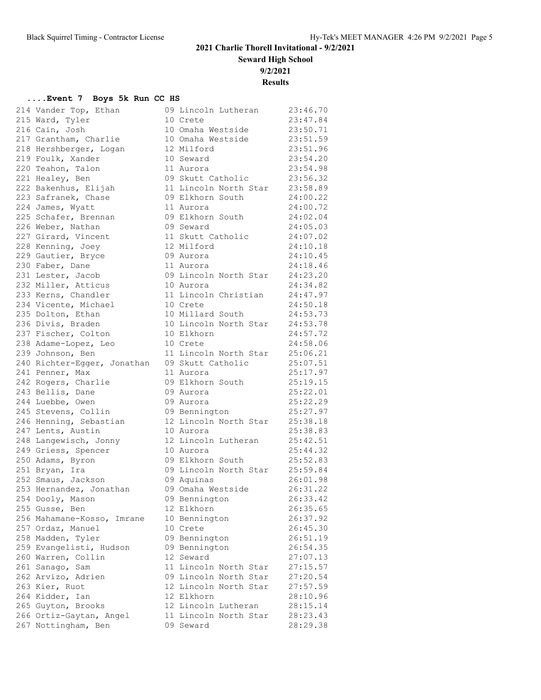**Seward High School**

**9/2/2021**

**Results**

| 214 Vander Top, Ethan             | 09 Lincoln Lutheran                            | 23:46.70             |
|-----------------------------------|------------------------------------------------|----------------------|
| 215 Ward, Tyler                   | 10 Crete                                       | 23:47.84             |
| 216 Cain, Josh                    | 10 Omaha Westside 23:50.71                     |                      |
| 217 Grantham, Charlie             | 10 Omaha Westside                              | 23:51.59             |
| 218 Hershberger, Logan            | 12 Milford                                     | 23:51.96             |
| 219 Foulk, Xander                 | 10 Seward                                      | 23:54.20             |
| 220 Teahon, Talon                 | 11 Aurora                                      | 23:54.98             |
| 221 Healey, Ben                   | 09 Skutt Catholic 23:56.32                     |                      |
| 222 Bakenhus, Elijah              | 11 Lincoln North Star 23:58.89                 |                      |
| 223 Safranek, Chase               | 09 Elkhorn South                               | 24:00.22             |
| 224 James, Wyatt                  | 11 Aurora                                      | 24:00.72             |
| 225 Schafer, Brennan              | 09 Elkhorn South                               | 24:02.04             |
| 226 Weber, Nathan                 | 09 Seward                                      | 24:05.03             |
| 227 Girard, Vincent               | 11 Skutt Catholic                              | 24:07.02             |
| 228 Kenning, Joey                 | 12 Milford                                     | 24:10.18             |
| 229 Gautier, Bryce                | 09 Aurora                                      | 24:10.45             |
| 230 Faber, Dane                   | 11 Aurora                                      | 24:18.46             |
| 231 Lester, Jacob                 | 09 Lincoln North Star                          | 24:23.20             |
| 232 Miller, Atticus               | 10 Aurora                                      | 24:34.82             |
| 233 Kerns, Chandler               | 11 Lincoln Christian 24:47.97                  |                      |
| 234 Vicente, Michael              | 10 Crete                                       | 24:50.18             |
| 235 Dolton, Ethan                 | 10 Millard South                               | 24:53.73             |
| 236 Divis, Braden                 | 10 Lincoln North Star 24:53.78                 |                      |
| 237 Fischer, Colton               | 10 Elkhorn                                     | 24:57.72             |
| 238 Adame-Lopez, Leo              | 10 Crete                                       | 24:58.06             |
| 239 Johnson, Ben                  | 11 Lincoln North Star 25:06.21                 |                      |
| 240 Richter-Egger, Jonathan       | 09 Skutt Catholic 25:07.51                     |                      |
| 241 Penner, Max                   | 11 Aurora                                      | 25:17.97             |
| 242 Rogers, Charlie               | 09 Elkhorn South                               | 25:19.15             |
| 243 Bellis, Dane                  | 09 Aurora                                      | 25:22.01             |
| 244 Luebbe, Owen                  | 09 Aurora                                      | 25:22.29             |
| 245 Stevens, Collin               | 09 Bennington                                  | 25:27.97             |
| 246 Henning, Sebastian            | 12 Lincoln North Star 25:38.18                 |                      |
| 247 Lents, Austin                 | 10 Aurora                                      | 25:38.83             |
| 248 Langewisch, Jonny             | 12 Lincoln Lutheran                            | 25:42.51             |
| 249 Griess, Spencer               | 10 Aurora                                      | 25:44.32             |
| 250 Adams, Byron                  | 09 Elkhorn South                               | 25:52.83             |
| 251 Bryan, Ira                    | 09 Lincoln North Star 25:59.84                 |                      |
| 252 Smaus, Jackson                | 09 Aquinas                                     | 26:01.98             |
| 253 Hernandez, Jonathan           | 09 Omaha Westside 26:31.22                     |                      |
| 254 Dooly, Mason                  | 09 Bennington                                  | 26:33.42             |
| 255 Gusse, Ben                    | 12 Elkhorn                                     | 26:35.65             |
| 256 Mahamane-Kosso, Imrane        | 10 Bennington                                  | 26:37.92             |
| 257 Ordaz, Manuel                 | 10 Crete                                       | 26:45.30             |
| 258 Madden, Tyler                 | 09 Bennington                                  | 26:51.19             |
| 259 Evangelisti, Hudson           | 09 Bennington<br>12 Seward                     | 26:54.35             |
| 260 Warren, Collin                |                                                | 27:07.13             |
| 261 Sanago, Sam                   | 11 Lincoln North Star                          | 27:15.57             |
| 262 Arvizo, Adrien                | 09 Lincoln North Star<br>12 Lincoln North Star | 27:20.54             |
| 263 Kier, Ruot<br>264 Kidder, Ian | 12 Elkhorn                                     | 27:57.59<br>28:10.96 |
| 265 Guyton, Brooks                | 12 Lincoln Lutheran                            | 28:15.14             |
| 266 Ortiz-Gaytan, Angel           | 11 Lincoln North Star                          | 28:23.43             |
| 267 Nottingham, Ben               | 09 Seward                                      | 28:29.38             |
|                                   |                                                |                      |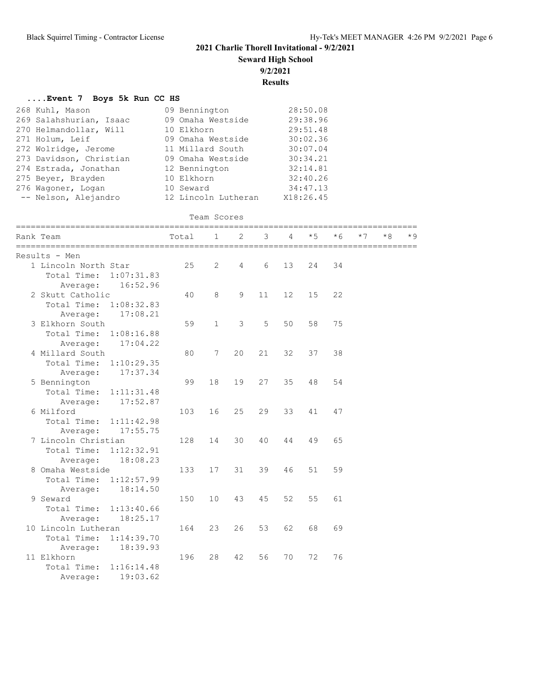**....Event 7 Boys 5k Run CC HS**

## **2021 Charlie Thorell Invitational - 9/2/2021**

**Seward High School**

**9/2/2021**

**Results**

| 268 Kuhl, Mason<br>269 Salahshurian, Isaac<br>270 Helmandollar, Will<br>271 Holum, Leif<br>272 Wolridge, Jerome<br>273 Davidson, Christian<br>274 Estrada, Jonathan<br>275 Beyer, Brayden<br>276 Wagoner, Logan<br>-- Nelson, Alejandro | 09 Bennington<br>09 Omaha Westside<br>10 Elkhorn<br>09 Omaha Westside<br>11 Millard South<br>09 Omaha Westside<br>12 Bennington<br>10 Elkhorn<br>10 Seward<br>12 Lincoln Lutheran |              |    |    |    | 28:50.08<br>29:38.96<br>29:51.48<br>30:02.36<br>30:07.04<br>30:34.21<br>32:14.81<br>32:40.26<br>34:47.13<br>X18:26.45 |      |      |    |      |
|-----------------------------------------------------------------------------------------------------------------------------------------------------------------------------------------------------------------------------------------|-----------------------------------------------------------------------------------------------------------------------------------------------------------------------------------|--------------|----|----|----|-----------------------------------------------------------------------------------------------------------------------|------|------|----|------|
|                                                                                                                                                                                                                                         |                                                                                                                                                                                   | Team Scores  |    |    |    |                                                                                                                       |      |      |    |      |
| Rank Team                                                                                                                                                                                                                               | Total                                                                                                                                                                             | $\mathbf 1$  | 2  | 3  | 4  | $*5$                                                                                                                  | $*6$ | $*7$ | *8 | $*9$ |
| Results - Men                                                                                                                                                                                                                           |                                                                                                                                                                                   |              |    |    |    |                                                                                                                       |      |      |    |      |
| 1 Lincoln North Star                                                                                                                                                                                                                    | 25                                                                                                                                                                                | 2            | 4  | 6  | 13 | 24                                                                                                                    | 34   |      |    |      |
| Total Time:<br>1:07:31.83                                                                                                                                                                                                               |                                                                                                                                                                                   |              |    |    |    |                                                                                                                       |      |      |    |      |
| 16:52.96<br>Average:                                                                                                                                                                                                                    |                                                                                                                                                                                   |              |    |    |    |                                                                                                                       |      |      |    |      |
| 2 Skutt Catholic                                                                                                                                                                                                                        | 40                                                                                                                                                                                | 8            | 9  | 11 | 12 | 15                                                                                                                    | 22   |      |    |      |
| Total Time: 1:08:32.83                                                                                                                                                                                                                  |                                                                                                                                                                                   |              |    |    |    |                                                                                                                       |      |      |    |      |
| 17:08.21<br>Average:                                                                                                                                                                                                                    |                                                                                                                                                                                   |              |    |    |    |                                                                                                                       |      |      |    |      |
| 3 Elkhorn South                                                                                                                                                                                                                         | 59                                                                                                                                                                                | $\mathbf{1}$ | 3  | 5  | 50 | 58                                                                                                                    | 75   |      |    |      |
| Total Time:<br>1:08:16.88                                                                                                                                                                                                               |                                                                                                                                                                                   |              |    |    |    |                                                                                                                       |      |      |    |      |
| 17:04.22<br>Average:                                                                                                                                                                                                                    |                                                                                                                                                                                   |              |    |    |    |                                                                                                                       |      |      |    |      |
| 4 Millard South                                                                                                                                                                                                                         | 80                                                                                                                                                                                | 7            | 20 | 21 | 32 | 37                                                                                                                    | 38   |      |    |      |
| Total Time:<br>1:10:29.35                                                                                                                                                                                                               |                                                                                                                                                                                   |              |    |    |    |                                                                                                                       |      |      |    |      |
| 17:37.34<br>Average:                                                                                                                                                                                                                    |                                                                                                                                                                                   |              |    |    |    |                                                                                                                       |      |      |    |      |
| 5 Bennington                                                                                                                                                                                                                            | 99                                                                                                                                                                                | 18           | 19 | 27 | 35 | 48                                                                                                                    | 54   |      |    |      |
| Total Time:<br>1:11:31.48<br>17:52.87                                                                                                                                                                                                   |                                                                                                                                                                                   |              |    |    |    |                                                                                                                       |      |      |    |      |
| Average:<br>6 Milford                                                                                                                                                                                                                   | 103                                                                                                                                                                               | 16           | 25 | 29 | 33 | 41                                                                                                                    | 47   |      |    |      |
| Total Time:<br>1:11:42.98                                                                                                                                                                                                               |                                                                                                                                                                                   |              |    |    |    |                                                                                                                       |      |      |    |      |
| 17:55.75<br>Average:                                                                                                                                                                                                                    |                                                                                                                                                                                   |              |    |    |    |                                                                                                                       |      |      |    |      |
| 7 Lincoln Christian                                                                                                                                                                                                                     | 128                                                                                                                                                                               | 14           | 30 | 40 | 44 | 49                                                                                                                    | 65   |      |    |      |
| Total Time:<br>1:12:32.91                                                                                                                                                                                                               |                                                                                                                                                                                   |              |    |    |    |                                                                                                                       |      |      |    |      |
| 18:08.23<br>Average:                                                                                                                                                                                                                    |                                                                                                                                                                                   |              |    |    |    |                                                                                                                       |      |      |    |      |
| 8 Omaha Westside                                                                                                                                                                                                                        | 133                                                                                                                                                                               | 17           | 31 | 39 | 46 | 51                                                                                                                    | 59   |      |    |      |
| Total Time:<br>1:12:57.99                                                                                                                                                                                                               |                                                                                                                                                                                   |              |    |    |    |                                                                                                                       |      |      |    |      |
| 18:14.50<br>Average:                                                                                                                                                                                                                    |                                                                                                                                                                                   |              |    |    |    |                                                                                                                       |      |      |    |      |
| 9 Seward                                                                                                                                                                                                                                | 150                                                                                                                                                                               | 10           | 43 | 45 | 52 | 55                                                                                                                    | 61   |      |    |      |
| 1:13:40.66<br>Total Time:                                                                                                                                                                                                               |                                                                                                                                                                                   |              |    |    |    |                                                                                                                       |      |      |    |      |
| 18:25.17<br>Average:                                                                                                                                                                                                                    |                                                                                                                                                                                   |              |    |    |    |                                                                                                                       |      |      |    |      |
| 10 Lincoln Lutheran                                                                                                                                                                                                                     | 164                                                                                                                                                                               | 23           | 26 | 53 | 62 | 68                                                                                                                    | 69   |      |    |      |
| 1:14:39.70<br>Total Time:                                                                                                                                                                                                               |                                                                                                                                                                                   |              |    |    |    |                                                                                                                       |      |      |    |      |
| 18:39.93<br>Average:                                                                                                                                                                                                                    |                                                                                                                                                                                   |              |    |    |    |                                                                                                                       |      |      |    |      |
| 11 Elkhorn                                                                                                                                                                                                                              | 196                                                                                                                                                                               | 28           | 42 | 56 | 70 | 72                                                                                                                    | 76   |      |    |      |
| Total Time:<br>1:16:14.48                                                                                                                                                                                                               |                                                                                                                                                                                   |              |    |    |    |                                                                                                                       |      |      |    |      |
| 19:03.62<br>Average:                                                                                                                                                                                                                    |                                                                                                                                                                                   |              |    |    |    |                                                                                                                       |      |      |    |      |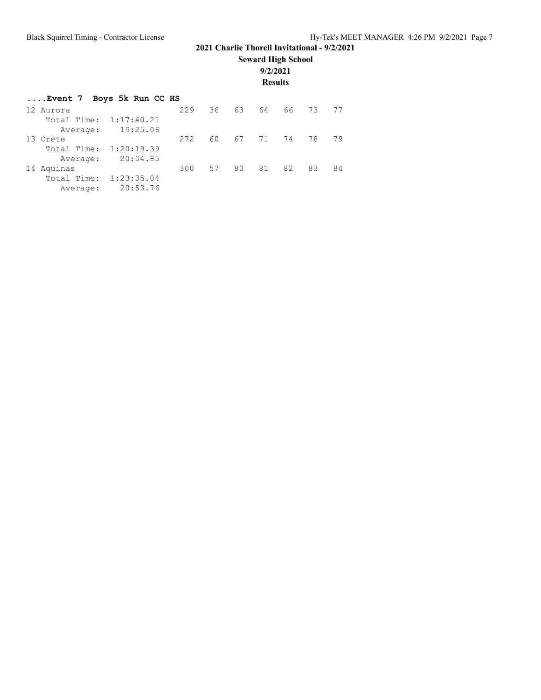**Seward High School**

**9/2/2021**

**Results**

| Event 7 Boys 5k Run CC HS |            |     |    |    |       |      |    |    |
|---------------------------|------------|-----|----|----|-------|------|----|----|
| 12 Aurora                 |            | 229 | 36 | 63 | 64    | 66 - | 73 | 77 |
| Total Time: 1:17:40.21    |            |     |    |    |       |      |    |    |
| Average:                  | 19:25.06   |     |    |    |       |      |    |    |
| 13 Crete                  |            | 272 | 60 |    | 67 71 | 74   | 78 | 79 |
| Total Time: 1:20:19.39    |            |     |    |    |       |      |    |    |
| Average:                  | 20:04.85   |     |    |    |       |      |    |    |
| 14 Aquinas                |            | 300 | 57 | 80 | 81    | 82   | 83 | 84 |
| Total Time:               | 1:23:35.04 |     |    |    |       |      |    |    |
| Average:                  | 20:53.76   |     |    |    |       |      |    |    |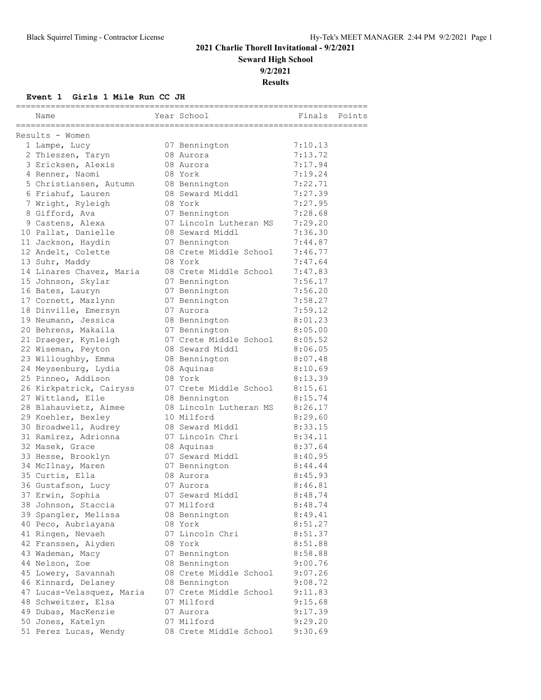## **2021 Charlie Thorell Invitational - 9/2/2021 Seward High School**

**9/2/2021**

**Results**

### **Event 1 Girls 1 Mile Run CC JH**

|                                                          | ==========              |         |        |
|----------------------------------------------------------|-------------------------|---------|--------|
| Name                                                     | Year School             | Finals  | Points |
| -====================================<br>Results - Women | :====================== |         |        |
| 1 Lampe, Lucy                                            | 07 Bennington           | 7:10.13 |        |
| 2 Thieszen, Taryn                                        | 08 Aurora               | 7:13.72 |        |
| 3 Ericksen, Alexis                                       | 08 Aurora               | 7:17.94 |        |
| 4 Renner, Naomi                                          | 08 York                 | 7:19.24 |        |
| 5 Christiansen, Autumn                                   | 08 Bennington           | 7:22.71 |        |
| 6 Friahuf, Lauren                                        | 08 Seward Middl         | 7:27.39 |        |
| 7 Wright, Ryleigh                                        | 08 York                 | 7:27.95 |        |
| 8 Gifford, Ava                                           | 07 Bennington           | 7:28.68 |        |
| 9 Castens, Alexa                                         | 07 Lincoln Lutheran MS  | 7:29.20 |        |
| 10 Pallat, Danielle                                      | 08 Seward Middl         | 7:36.30 |        |
| 11 Jackson, Haydin                                       | 07 Bennington           | 7:44.87 |        |
| 12 Andelt, Colette                                       | 08 Crete Middle School  | 7:46.77 |        |
| 13 Suhr, Maddy                                           | 08 York                 | 7:47.64 |        |
| 14 Linares Chavez, Maria                                 | 08 Crete Middle School  | 7:47.83 |        |
| 15 Johnson, Skylar                                       | 07 Bennington           | 7:56.17 |        |
| 16 Bates, Lauryn                                         | 07 Bennington           | 7:56.20 |        |
| 17 Cornett, Mazlynn                                      | 07 Bennington           | 7:58.27 |        |
| 18 Dinville, Emersyn                                     | 07 Aurora               | 7:59.12 |        |
| 19 Neumann, Jessica                                      | 08 Bennington           | 8:01.23 |        |
| 20 Behrens, Makaila                                      | 07 Bennington           | 8:05.00 |        |
| 21 Draeger, Kynleigh                                     | 07 Crete Middle School  | 8:05.52 |        |
| 22 Wiseman, Peyton                                       | 08 Seward Middl         | 8:06.05 |        |
| 23 Willoughby, Emma                                      | 08 Bennington           | 8:07.48 |        |
| 24 Meysenburg, Lydia                                     | 08 Aquinas              | 8:10.69 |        |
| 25 Pinneo, Addison                                       | 08 York                 | 8:13.39 |        |
| 26 Kirkpatrick, Cairyss                                  | 07 Crete Middle School  | 8:15.61 |        |
| 27 Wittland, Elle                                        | 08 Bennington           | 8:15.74 |        |
| 28 Blahauvietz, Aimee                                    | 08 Lincoln Lutheran MS  | 8:26.17 |        |
| 29 Koehler, Bexley                                       | 10 Milford              | 8:29.60 |        |
| 30 Broadwell, Audrey                                     | 08 Seward Middl         | 8:33.15 |        |
| 31 Ramirez, Adrionna                                     | 07 Lincoln Chri         | 8:34.11 |        |
| 32 Masek, Grace                                          | 08 Aquinas              | 8:37.64 |        |
| 33 Hesse, Brooklyn                                       | 07 Seward Middl         | 8:40.95 |        |
| 34 McIlnay, Maren                                        | 07 Bennington           | 8:44.44 |        |
| 35 Curtis, Ella                                          | 08 Aurora               | 8:45.93 |        |
| 36 Gustafson, Lucy                                       | 07 Aurora               | 8:46.81 |        |
| 37 Erwin, Sophia                                         | 07 Seward Middl         | 8:48.74 |        |
| 38 Johnson, Staccia                                      | 07 Milford              | 8:48.74 |        |
| 39 Spangler, Melissa                                     | 08 Bennington           | 8:49.41 |        |
| 40 Peco, Aubriayana                                      | 08 York                 | 8:51.27 |        |
| 41 Ringen, Nevaeh                                        | 07 Lincoln Chri         | 8:51.37 |        |
| 42 Franssen, Aiyden                                      | 08 York                 | 8:51.88 |        |
| 43 Wademan, Macy                                         | 07 Bennington           | 8:58.88 |        |
| 44 Nelson, Zoe                                           | 08 Bennington           | 9:00.76 |        |
| 45 Lowery, Savannah                                      | 08 Crete Middle School  | 9:07.26 |        |
| 46 Kinnard, Delaney                                      | 08 Bennington           | 9:08.72 |        |
| 47 Lucas-Velasquez, Maria                                | 07 Crete Middle School  | 9:11.83 |        |
| 48 Schweitzer, Elsa                                      | 07 Milford              | 9:15.68 |        |
| 49 Dubas, MacKenzie                                      | 07 Aurora               | 9:17.39 |        |
| 50 Jones, Katelyn                                        | 07 Milford              | 9:29.20 |        |
| 51 Perez Lucas, Wendy                                    | 08 Crete Middle School  | 9:30.69 |        |
|                                                          |                         |         |        |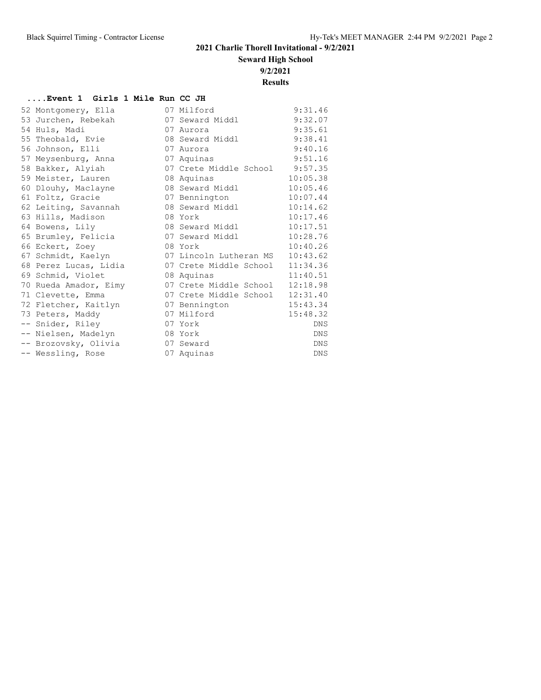**Seward High School**

**9/2/2021**

**Results**

#### **....Event 1 Girls 1 Mile Run CC JH**

| 52 Montgomery, Ella   | 07 Milford             | 9:31.46    |
|-----------------------|------------------------|------------|
| 53 Jurchen, Rebekah   | 07 Seward Middl        | 9:32.07    |
| 54 Huls, Madi         | 07 Aurora              | 9:35.61    |
| 55 Theobald, Evie     | 08 Seward Middl        | 9:38.41    |
| 56 Johnson, Elli      | 07 Aurora              | 9:40.16    |
| 57 Meysenburg, Anna   | 07 Aquinas             | 9:51.16    |
| 58 Bakker, Alyiah     | 07 Crete Middle School | 9:57.35    |
| 59 Meister, Lauren    | 08 Aquinas             | 10:05.38   |
| 60 Dlouhy, Maclayne   | 08 Seward Middl        | 10:05.46   |
| 61 Foltz, Gracie      | 07 Bennington          | 10:07.44   |
| 62 Leiting, Savannah  | 08 Seward Middl        | 10:14.62   |
| 63 Hills, Madison     | 08 York                | 10:17.46   |
| 64 Bowens, Lily       | 08 Seward Middl        | 10:17.51   |
| 65 Brumley, Felicia   | 07 Seward Middl        | 10:28.76   |
| 66 Eckert, Zoey       | 08 York                | 10:40.26   |
| 67 Schmidt, Kaelyn    | 07 Lincoln Lutheran MS | 10:43.62   |
| 68 Perez Lucas, Lidia | 07 Crete Middle School | 11:34.36   |
| 69 Schmid, Violet     | 08 Aquinas             | 11:40.51   |
| 70 Rueda Amador, Eimy | 07 Crete Middle School | 12:18.98   |
| 71 Clevette, Emma     | 07 Crete Middle School | 12:31.40   |
| 72 Fletcher, Kaitlyn  | 07 Bennington          | 15:43.34   |
| 73 Peters, Maddy      | 07 Milford             | 15:48.32   |
| -- Snider, Riley      | 07 York                | DNS        |
| -- Nielsen, Madelyn   | 08 York                | <b>DNS</b> |
| -- Brozovsky, Olivia  | 07 Seward              | <b>DNS</b> |
| -- Wessling, Rose     | 07 Aquinas             | DNS        |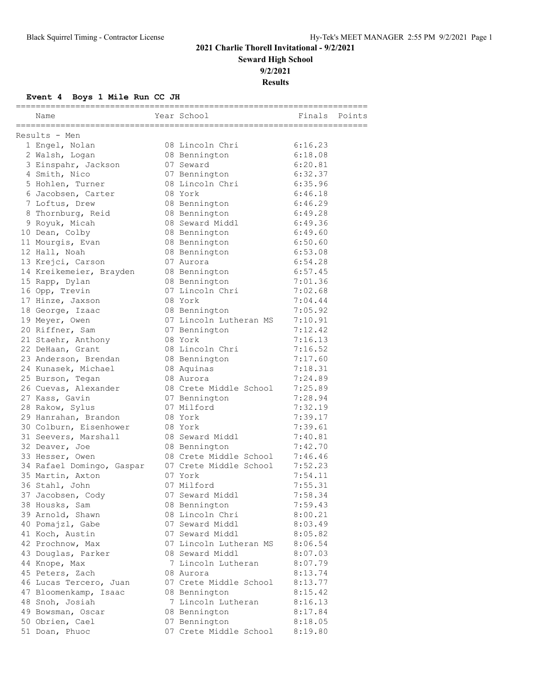## **2021 Charlie Thorell Invitational - 9/2/2021 Seward High School**

**9/2/2021**

**Results**

## **Event 4 Boys 1 Mile Run CC JH**

| Name                      | Year School            | Finals Points |  |
|---------------------------|------------------------|---------------|--|
| Results - Men             |                        |               |  |
| 1 Engel, Nolan            | 08 Lincoln Chri        | 6:16.23       |  |
| 2 Walsh, Logan            | 08 Bennington          | 6:18.08       |  |
| 3 Einspahr, Jackson       | 07 Seward              | 6:20.81       |  |
| 4 Smith, Nico             | 07 Bennington          | 6:32.37       |  |
| 5 Hohlen, Turner          | 08 Lincoln Chri        | 6:35.96       |  |
| 6 Jacobsen, Carter        | 08 York                | 6:46.18       |  |
| 7 Loftus, Drew            | 08 Bennington          | 6:46.29       |  |
| 8 Thornburg, Reid         | 08 Bennington          | 6:49.28       |  |
| 9 Royuk, Micah            | 08 Seward Middl        | 6:49.36       |  |
| 10 Dean, Colby            | 08 Bennington          | 6:49.60       |  |
| 11 Mourgis, Evan          | 08 Bennington          | 6:50.60       |  |
| 12 Hall, Noah             | 08 Bennington          | 6:53.08       |  |
| 13 Krejci, Carson         | 07 Aurora              | 6:54.28       |  |
| 14 Kreikemeier, Brayden   | 08 Bennington          | 6:57.45       |  |
| 15 Rapp, Dylan            | 08 Bennington          | 7:01.36       |  |
| 16 Opp, Trevin            | 07 Lincoln Chri        | 7:02.68       |  |
| 17 Hinze, Jaxson          | 08 York                | 7:04.44       |  |
| 18 George, Izaac          | 08 Bennington          | 7:05.92       |  |
| 19 Meyer, Owen            | 07 Lincoln Lutheran MS | 7:10.91       |  |
| 20 Riffner, Sam           | 07 Bennington          | 7:12.42       |  |
| 21 Staehr, Anthony        | 08 York                | 7:16.13       |  |
| 22 DeHaan, Grant          | 08 Lincoln Chri        | 7:16.52       |  |
| 23 Anderson, Brendan      | 08 Bennington          | 7:17.60       |  |
| 24 Kunasek, Michael       | 08 Aquinas             | 7:18.31       |  |
| 25 Burson, Tegan          | 08 Aurora              | 7:24.89       |  |
| 26 Cuevas, Alexander      | 08 Crete Middle School | 7:25.89       |  |
| 27 Kass, Gavin            | 07 Bennington          | 7:28.94       |  |
| 28 Rakow, Sylus           | 07 Milford             | 7:32.19       |  |
| 29 Hanrahan, Brandon      | 08 York                | 7:39.17       |  |
| 30 Colburn, Eisenhower    | 08 York                | 7:39.61       |  |
| 31 Seevers, Marshall      | 08 Seward Middl        | 7:40.81       |  |
| 32 Deaver, Joe            | 08 Bennington          | 7:42.70       |  |
| 33 Hesser, Owen           | 08 Crete Middle School | 7:46.46       |  |
| 34 Rafael Domingo, Gaspar | 07 Crete Middle School | 7:52.23       |  |
| 35 Martin, Axton          | 07 York                | 7:54.11       |  |
| 36 Stahl, John            | 07 Milford             | 7:55.31       |  |
| 37 Jacobsen, Cody         | 07 Seward Middl        | 7:58.34       |  |
| 38 Housks, Sam            | 08 Bennington          | 7:59.43       |  |
| 39 Arnold, Shawn          | 08 Lincoln Chri        | 8:00.21       |  |
| 40 Pomajzl, Gabe          | 07 Seward Middl        | 8:03.49       |  |
| 41 Koch, Austin           | 07 Seward Middl        | 8:05.82       |  |
| 42 Prochnow, Max          | 07 Lincoln Lutheran MS | 8:06.54       |  |
| 43 Douglas, Parker        | 08 Seward Middl        | 8:07.03       |  |
| 44 Knope, Max             | 7 Lincoln Lutheran     | 8:07.79       |  |
| 45 Peters, Zach           | 08 Aurora              | 8:13.74       |  |
| 46 Lucas Tercero, Juan    | 07 Crete Middle School | 8:13.77       |  |
| 47 Bloomenkamp, Isaac     | 08 Bennington          | 8:15.42       |  |
| 48 Snoh, Josiah           | 7 Lincoln Lutheran     | 8:16.13       |  |
| 49 Bowsman, Oscar         | 08 Bennington          | 8:17.84       |  |
| 50 Obrien, Cael           | 07 Bennington          | 8:18.05       |  |
| 51 Doan, Phuoc            | 07 Crete Middle School | 8:19.80       |  |
|                           |                        |               |  |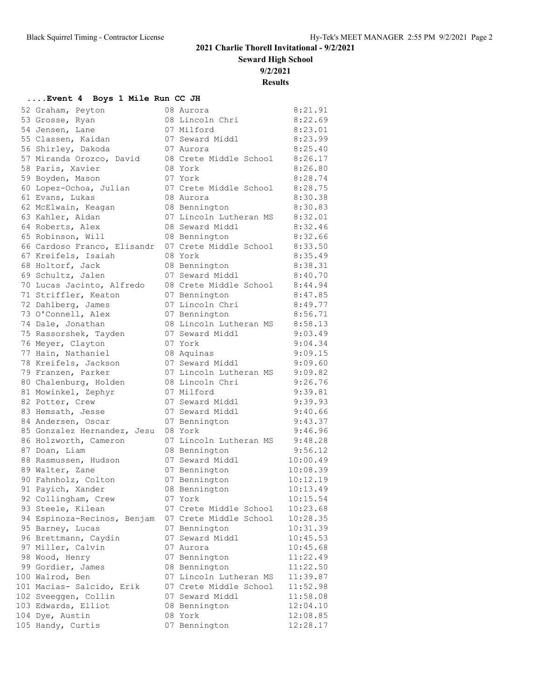**Seward High School**

**9/2/2021**

**Results**

### **....Event 4 Boys 1 Mile Run CC JH**

| 52 Graham, Peyton           | 08 Aurora                                        | 8:21.91  |
|-----------------------------|--------------------------------------------------|----------|
| 53 Grosse, Ryan             | 08 Lincoln Chri                                  | 8:22.69  |
| 54 Jensen, Lane             | 07 Milford                                       | 8:23.01  |
| 55 Classen, Kaidan          | 07 Seward Middl                                  | 8:23.99  |
| 56 Shirley, Dakoda          | 07 Aurora                                        | 8:25.40  |
| 57 Miranda Orozco, David    | 08 Crete Middle School                           | 8:26.17  |
| 58 Paris, Xavier            | 08 York                                          | 8:26.80  |
| 59 Boyden, Mason            | 07 York                                          | 8:28.74  |
| 60 Lopez-Ochoa, Julian      | 07 Crete Middle School                           | 8:28.75  |
| 61 Evans, Lukas             | 08 Aurora                                        | 8:30.38  |
| 62 McElwain, Keagan         | 08 Bennington                                    | 8:30.83  |
| 63 Kahler, Aidan            | 07 Lincoln Lutheran MS                           | 8:32.01  |
| 64 Roberts, Alex            | 08 Seward Middl                                  | 8:32.46  |
| 65 Robinson, Will           | 08 Bennington                                    | 8:32.66  |
| 66 Cardoso Franco, Elisandr | 07 Crete Middle School                           | 8:33.50  |
| 67 Kreifels, Isaiah         | 08 York                                          | 8:35.49  |
| 68 Holtorf, Jack            | 08 Bennington                                    | 8:38.31  |
| 69 Schultz, Jalen           | 07 Seward Middl                                  | 8:40.70  |
| 70 Lucas Jacinto, Alfredo   | 08 Crete Middle School                           | 8:44.94  |
| 71 Striffler, Keaton        | 07 Bennington                                    | 8:47.85  |
| 72 Dahlberg, James          | 07 Lincoln Chri                                  | 8:49.77  |
| 73 O'Connell, Alex          | 07 Bennington                                    | 8:56.71  |
| 74 Dale, Jonathan           | 08 Lincoln Lutheran MS                           | 8:58.13  |
| 75 Rassorshek, Tayden       | 07 Seward Middl                                  | 9:03.49  |
| 76 Meyer, Clayton           | 07 York                                          | 9:04.34  |
| 77 Hain, Nathaniel          | 08 Aquinas                                       | 9:09.15  |
| 78 Kreifels, Jackson        | 07 Seward Middl                                  | 9:09.60  |
| 79 Franzen, Parker          | 07 Lincoln Lutheran MS                           | 9:09.82  |
| 80 Chalenburg, Holden       | 08 Lincoln Chri                                  | 9:26.76  |
| 81 Mowinkel, Zephyr         | 07 Milford                                       | 9:39.81  |
| 82 Potter, Crew             | 07 Seward Middl                                  | 9:39.93  |
| 83 Hemsath, Jesse           | 07 Seward Middl                                  | 9:40.66  |
| 84 Andersen, Oscar          | 07 Bennington                                    | 9:43.37  |
| 85 Gonzalez Hernandez, Jesu | 08 York                                          | 9:46.96  |
| 86 Holzworth, Cameron       | 07 Lincoln Lutheran MS                           | 9:48.28  |
| 87 Doan, Liam               | 08 Bennington                                    | 9:56.12  |
| 88 Rasmussen, Hudson        | 07 Seward Middl                                  | 10:00.49 |
| 89 Walter, Zane             | 07 Bennington                                    | 10:08.39 |
| 90 Fahnholz, Colton         | 07 Bennington                                    | 10:12.19 |
| 91 Payich, Xander           | 08 Bennington                                    | 10:13.49 |
| 92 Collingham, Crew         | 07 York                                          | 10:15.54 |
| 93 Steele, Kilean           | 07 Crete Middle School                           | 10:23.68 |
| 94 Espinoza-Recinos, Benjam | 07 Crete Middle School                           | 10:28.35 |
| 95 Barney, Lucas            | 07 Bennington                                    | 10:31.39 |
| 96 Brettmann, Caydin        | 07 Seward Middl                                  | 10:45.53 |
| 97 Miller, Calvin           | 07 Aurora                                        | 10:45.68 |
| 98 Wood, Henry              | 07 Bennington                                    | 11:22.49 |
| 99 Gordier, James           | 08 Bennington                                    | 11:22.50 |
| 100 Walrod, Ben             | 07 Lincoln Lutheran MS<br>07 Crete Middle School | 11:39.87 |
| 101 Macias- Salcido, Erik   |                                                  | 11:52.98 |
| 102 Sveeggen, Collin        | 07 Seward Middl                                  | 11:58.08 |
| 103 Edwards, Elliot         | 08 Bennington<br>08 York                         | 12:04.10 |
| 104 Dye, Austin             |                                                  | 12:08.85 |
| 105 Handy, Curtis           | 07 Bennington                                    | 12:28.17 |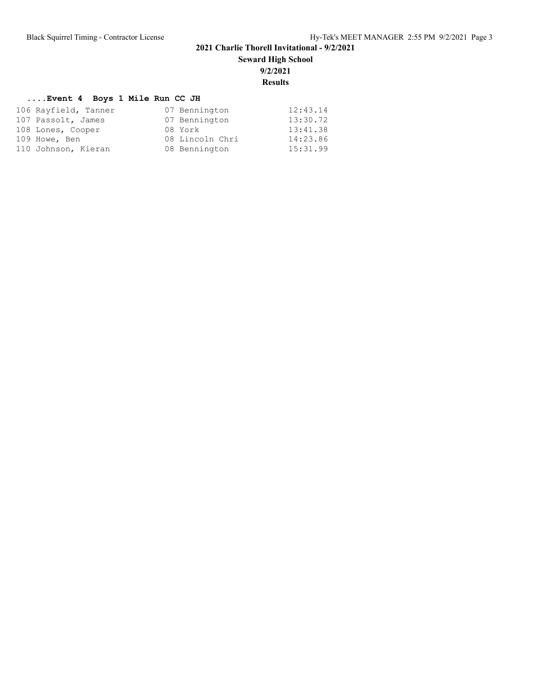**Seward High School**

**9/2/2021**

### **Results**

## **....Event 4 Boys 1 Mile Run CC JH**

| 106 Rayfield, Tanner | 07 Bennington   | 12:43.14 |
|----------------------|-----------------|----------|
| 107 Passolt, James   | 07 Bennington   | 13:30.72 |
| 108 Lones, Cooper    | 08 York         | 13:41.38 |
| 109 Howe, Ben        | 08 Lincoln Chri | 14:23.86 |
| 110 Johnson, Kieran  | 08 Bennington   | 15:31.99 |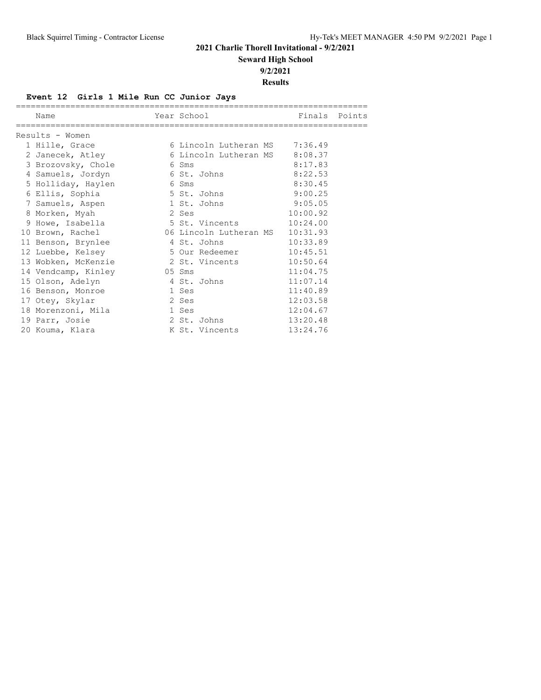**Seward High School**

**9/2/2021**

### **Results**

## **Event 12 Girls 1 Mile Run CC Junior Jays**

| Name                |        | Year School                   | Finals Points |  |
|---------------------|--------|-------------------------------|---------------|--|
| Results - Women     |        |                               |               |  |
| 1 Hille, Grace      |        | 6 Lincoln Lutheran MS 7:36.49 |               |  |
| 2 Janecek, Atley    |        | 6 Lincoln Lutheran MS 8:08.37 |               |  |
| 3 Brozovsky, Chole  |        | 6 Sms                         | 8:17.83       |  |
| 4 Samuels, Jordyn   |        | 6 St. Johns                   | 8:22.53       |  |
| 5 Holliday, Haylen  | 6 Sms  |                               | 8:30.45       |  |
| 6 Ellis, Sophia     |        | 5 St. Johns                   | 9:00.25       |  |
| 7 Samuels, Aspen    |        | 1 St. Johns                   | 9:05.05       |  |
| 8 Morken, Myah      | 2 Ses  |                               | 10:00.92      |  |
| 9 Howe, Isabella    |        | 5 St. Vincents                | 10:24.00      |  |
| 10 Brown, Rachel    |        | 06 Lincoln Lutheran MS        | 10:31.93      |  |
| 11 Benson, Brynlee  |        | 4 St. Johns                   | 10:33.89      |  |
| 12 Luebbe, Kelsey   |        | 5 Our Redeemer                | 10:45.51      |  |
| 13 Wobken, McKenzie |        | 2 St. Vincents                | 10:50.64      |  |
| 14 Vendcamp, Kinley | 05 Sms |                               | 11:04.75      |  |
| 15 Olson, Adelyn    |        | 4 St. Johns                   | 11:07.14      |  |
| 16 Benson, Monroe   |        | 1 Ses                         | 11:40.89      |  |
| 17 Otey, Skylar     |        | 2 Ses                         | 12:03.58      |  |
| 18 Morenzoni, Mila  |        | 1 Ses                         | 12:04.67      |  |
| 19 Parr, Josie      |        | 2 St. Johns                   | 13:20.48      |  |
| 20 Kouma, Klara     |        | K St. Vincents                | 13:24.76      |  |